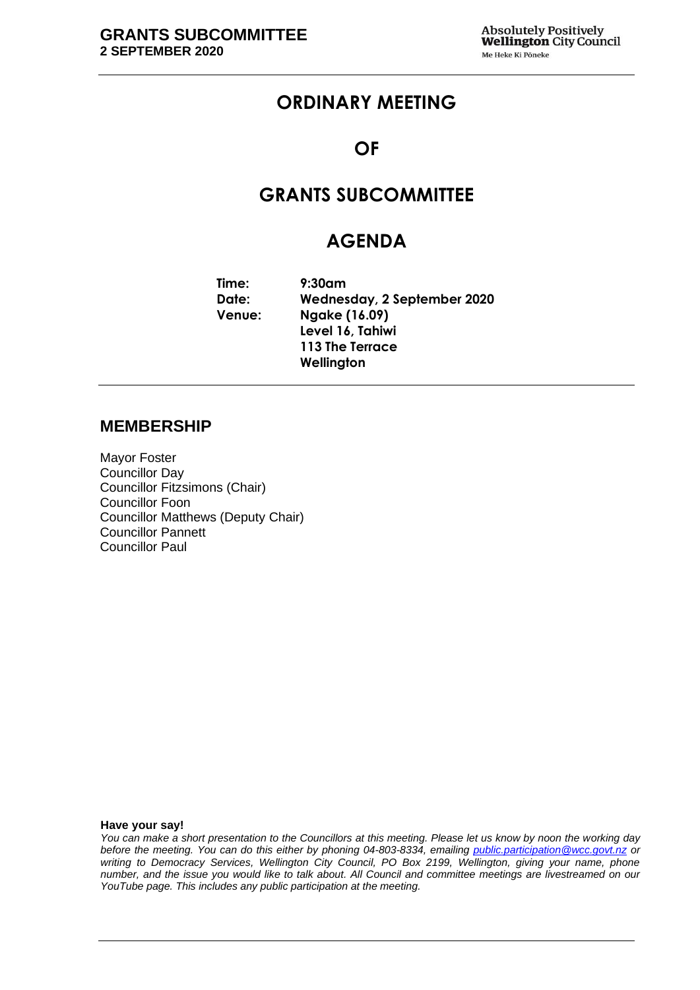# **ORDINARY MEETING**

## **OF**

# **GRANTS SUBCOMMITTEE**

# **AGENDA**

**Time: 9:30am Date: Wednesday, 2 September 2020 Venue: Ngake (16.09) Level 16, Tahiwi 113 The Terrace Wellington**

#### **MEMBERSHIP**

Mayor Foster Councillor Day Councillor Fitzsimons (Chair) Councillor Foon Councillor Matthews (Deputy Chair) Councillor Pannett Councillor Paul

**Have your say!**

*You can make a short presentation to the Councillors at this meeting. Please let us know by noon the working day before the meeting. You can do this either by phoning 04-803-8334, emailing public.participation@wcc.govt.nz or writing to Democracy Services, Wellington City Council, PO Box 2199, Wellington, giving your name, phone number, and the issue you would like to talk about. All Council and committee meetings are livestreamed on our YouTube page. This includes any public participation at the meeting.*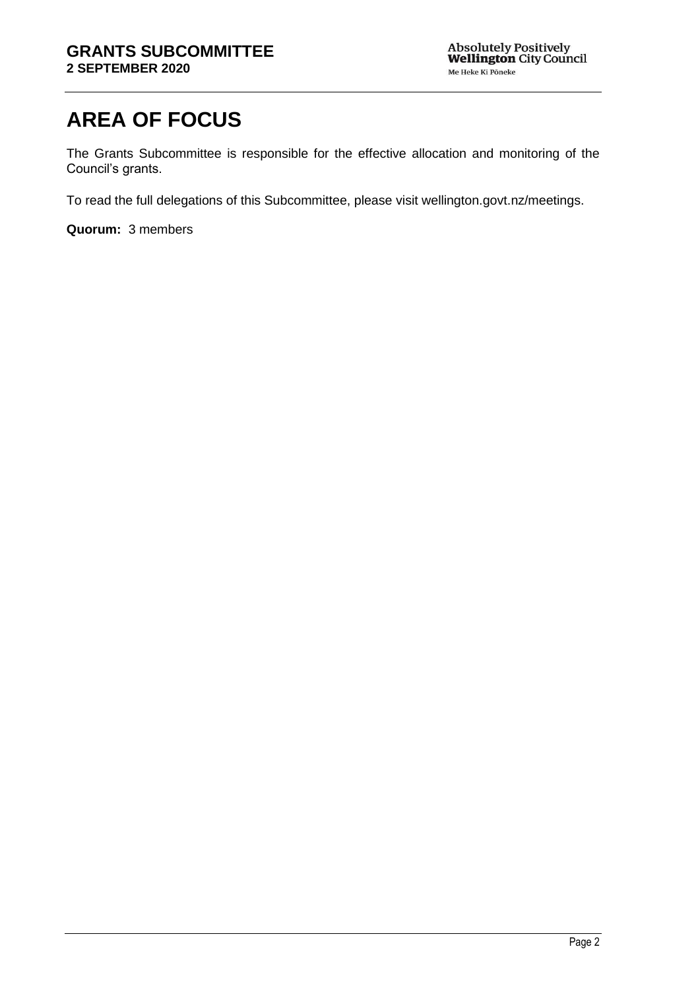# **AREA OF FOCUS**

The Grants Subcommittee is responsible for the effective allocation and monitoring of the Council's grants.

To read the full delegations of this Subcommittee, please visit wellington.govt.nz/meetings.

**Quorum:** 3 members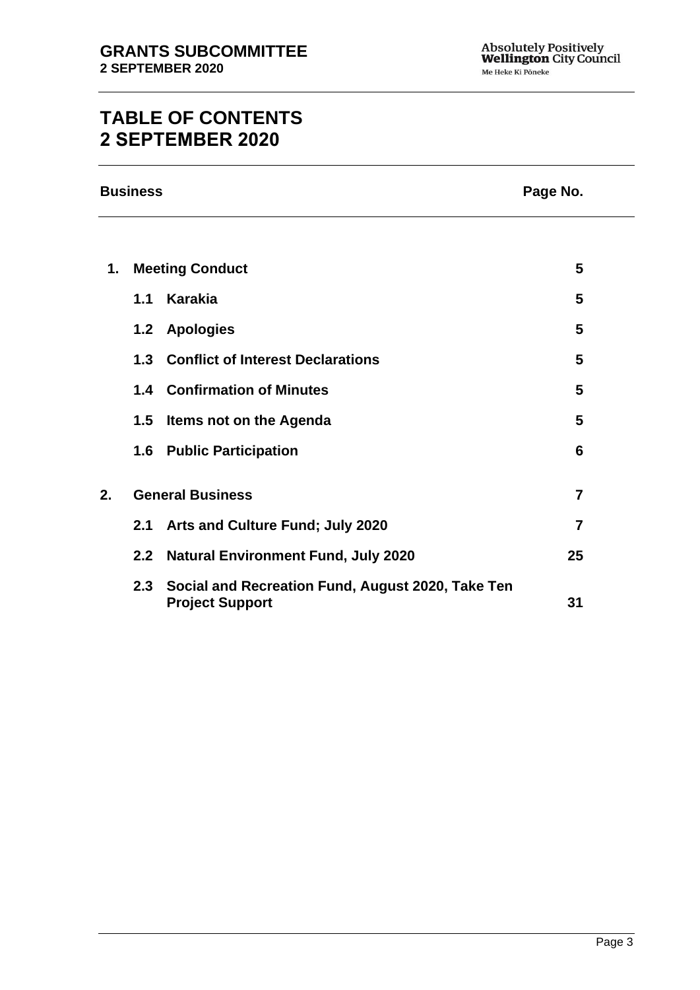# **TABLE OF CONTENTS 2 SEPTEMBER 2020**

|    | <b>Business</b><br>Page No. |                                       |                |  |
|----|-----------------------------|---------------------------------------|----------------|--|
|    |                             |                                       |                |  |
| 1. |                             | <b>Meeting Conduct</b>                | 5              |  |
|    | 1.1                         | Karakia                               | 5              |  |
|    |                             | 1.2 Apologies                         | 5              |  |
|    |                             | 1.3 Conflict of Interest Declarations | 5              |  |
|    |                             | <b>1.4 Confirmation of Minutes</b>    | 5              |  |
|    | 1.5                         | <b>Items not on the Agenda</b>        | 5              |  |
|    |                             | <b>1.6 Public Participation</b>       | 6              |  |
| 2. |                             | <b>General Business</b>               | $\overline{7}$ |  |
|    |                             | 2.1 Arts and Culture Fund; July 2020  | $\overline{7}$ |  |
|    |                             |                                       |                |  |

**2.3 Social and Recreation Fund, August 2020, Take Ten Project Support** 31

**2.2 Natural Environment Fund, July 2020 [25](#page-24-0)**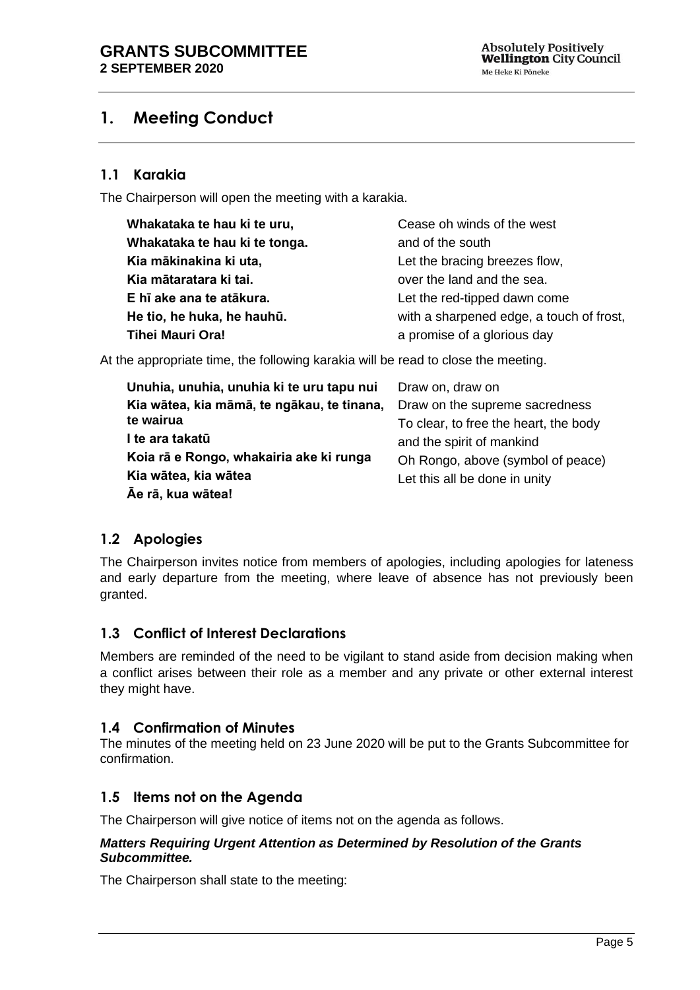# <span id="page-4-0"></span>**1. Meeting Conduct**

### **1.1 Karakia**

The Chairperson will open the meeting with a karakia.

| Whakataka te hau ki te uru,   | Cease oh winds of the west               |
|-------------------------------|------------------------------------------|
| Whakataka te hau ki te tonga. | and of the south                         |
| Kia mākinakina ki uta,        | Let the bracing breezes flow,            |
| Kia mātaratara ki tai.        | over the land and the sea.               |
| E hī ake ana te atākura.      | Let the red-tipped dawn come             |
| He tio, he huka, he hauhū.    | with a sharpened edge, a touch of frost, |
| <b>Tihei Mauri Ora!</b>       | a promise of a glorious day              |

At the appropriate time, the following karakia will be read to close the meeting.

| Unuhia, unuhia, unuhia ki te uru tapu nui  | Draw on, draw on                      |
|--------------------------------------------|---------------------------------------|
| Kia wātea, kia māmā, te ngākau, te tinana, | Draw on the supreme sacredness        |
| te wairua                                  | To clear, to free the heart, the body |
| I te ara takatū                            | and the spirit of mankind             |
| Koia rā e Rongo, whakairia ake ki runga    | Oh Rongo, above (symbol of peace)     |
| Kia wātea, kia wātea                       | Let this all be done in unity         |
| Āe rā, kua wātea!                          |                                       |

### <span id="page-4-1"></span>**1.2 Apologies**

The Chairperson invites notice from members of apologies, including apologies for lateness and early departure from the meeting, where leave of absence has not previously been granted.

### <span id="page-4-2"></span>**1.3 Conflict of Interest Declarations**

Members are reminded of the need to be vigilant to stand aside from decision making when a conflict arises between their role as a member and any private or other external interest they might have.

#### <span id="page-4-3"></span>**1.4 Confirmation of Minutes**

The minutes of the meeting held on 23 June 2020 will be put to the Grants Subcommittee for confirmation.

#### <span id="page-4-4"></span>**1.5 Items not on the Agenda**

The Chairperson will give notice of items not on the agenda as follows.

#### *Matters Requiring Urgent Attention as Determined by Resolution of the Grants Subcommittee.*

The Chairperson shall state to the meeting: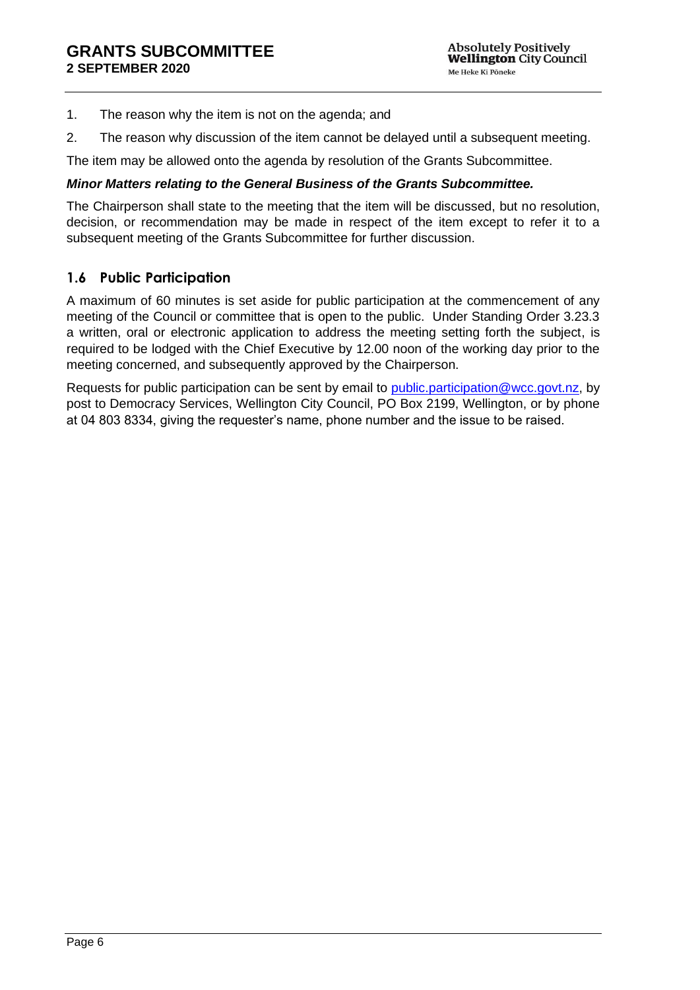- 1. The reason why the item is not on the agenda; and
- 2. The reason why discussion of the item cannot be delayed until a subsequent meeting.

The item may be allowed onto the agenda by resolution of the Grants Subcommittee.

#### *Minor Matters relating to the General Business of the Grants Subcommittee.*

The Chairperson shall state to the meeting that the item will be discussed, but no resolution, decision, or recommendation may be made in respect of the item except to refer it to a subsequent meeting of the Grants Subcommittee for further discussion.

### <span id="page-5-0"></span>**1.6 Public Participation**

A maximum of 60 minutes is set aside for public participation at the commencement of any meeting of the Council or committee that is open to the public. Under Standing Order 3.23.3 a written, oral or electronic application to address the meeting setting forth the subject, is required to be lodged with the Chief Executive by 12.00 noon of the working day prior to the meeting concerned, and subsequently approved by the Chairperson.

Requests for public participation can be sent by email to [public.participation@wcc.govt.nz,](mailto:public.participation@wcc.govt.nz) by post to Democracy Services, Wellington City Council, PO Box 2199, Wellington, or by phone at 04 803 8334, giving the requester's name, phone number and the issue to be raised.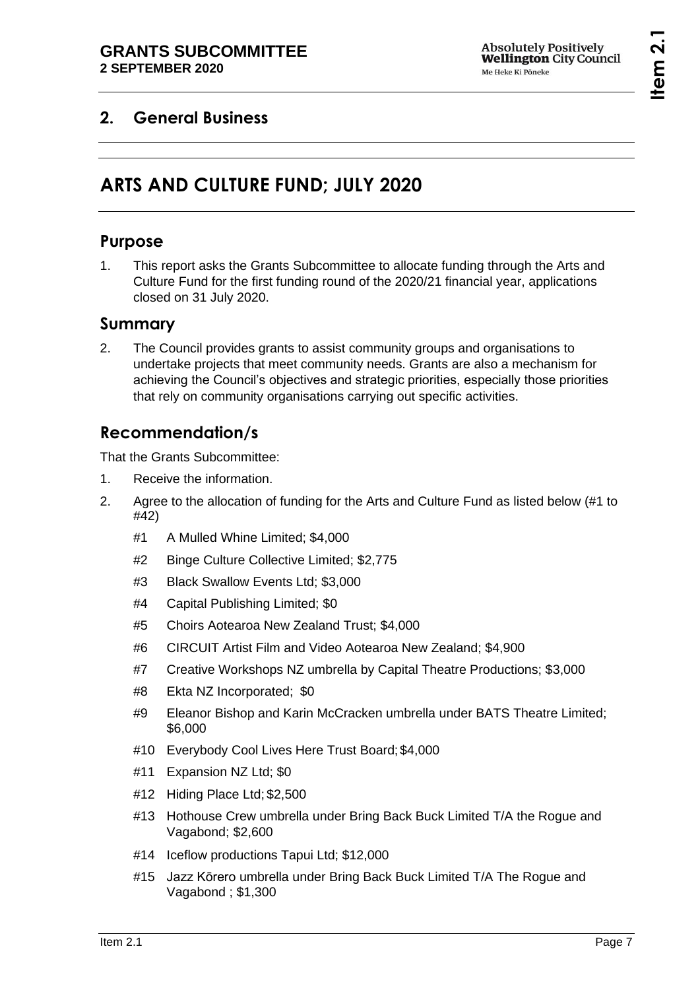# <span id="page-6-1"></span><span id="page-6-0"></span>**2. General Business**

# **ARTS AND CULTURE FUND; JULY 2020**

# **Purpose**

1. This report asks the Grants Subcommittee to allocate funding through the Arts and Culture Fund for the first funding round of the 2020/21 financial year, applications closed on 31 July 2020.

## **Summary**

2. The Council provides grants to assist community groups and organisations to undertake projects that meet community needs. Grants are also a mechanism for achieving the Council's objectives and strategic priorities, especially those priorities that rely on community organisations carrying out specific activities.

# **Recommendation/s**

That the Grants Subcommittee:

- 1. Receive the information.
- 2. Agree to the allocation of funding for the Arts and Culture Fund as listed below (#1 to #42)
	- #1 A Mulled Whine Limited; \$4,000
	- #2 Binge Culture Collective Limited; \$2,775
	- #3 Black Swallow Events Ltd; \$3,000
	- #4 Capital Publishing Limited; \$0
	- #5 Choirs Aotearoa New Zealand Trust; \$4,000
	- #6 CIRCUIT Artist Film and Video Aotearoa New Zealand; \$4,900
	- #7 Creative Workshops NZ umbrella by Capital Theatre Productions; \$3,000
	- #8 Ekta NZ Incorporated; \$0
	- #9 Eleanor Bishop and Karin McCracken umbrella under BATS Theatre Limited; \$6,000
	- #10 Everybody Cool Lives Here Trust Board; \$4,000
	- #11 Expansion NZ Ltd; \$0
	- #12 Hiding Place Ltd; \$2,500
	- #13 Hothouse Crew umbrella under Bring Back Buck Limited T/A the Rogue and Vagabond; \$2,600
	- #14 Iceflow productions Tapui Ltd; \$12,000
	- #15 Jazz Kōrero umbrella under Bring Back Buck Limited T/A The Rogue and Vagabond ; \$1,300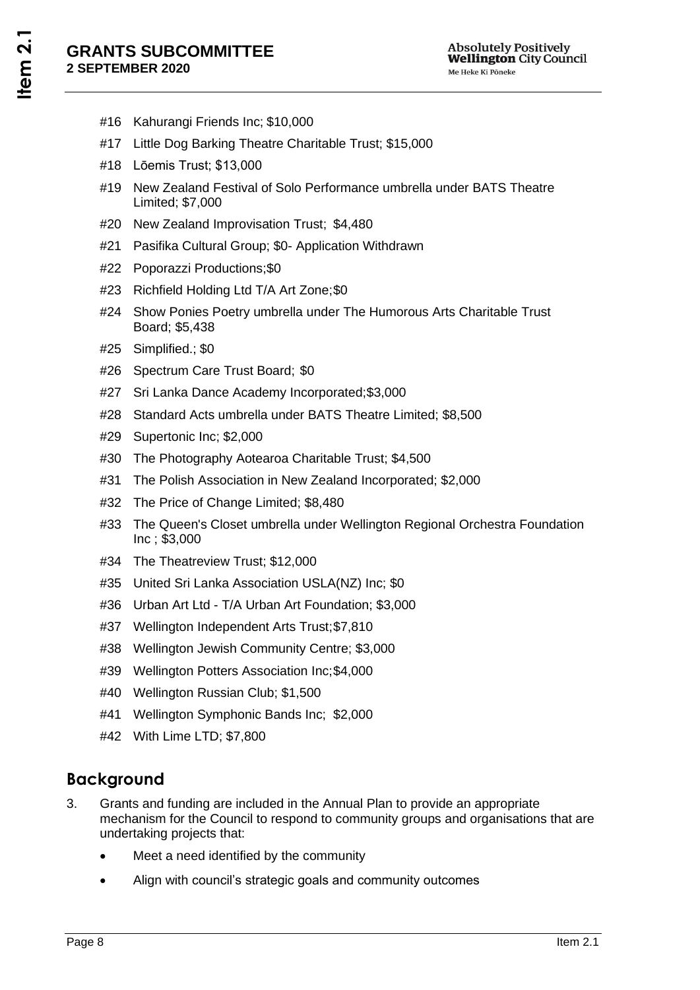- #16 Kahurangi Friends Inc; \$10,000
- #17 Little Dog Barking Theatre Charitable Trust; \$15,000
- #18 Lōemis Trust; \$13,000
- #19 New Zealand Festival of Solo Performance umbrella under BATS Theatre Limited; \$7,000
- #20 New Zealand Improvisation Trust; \$4,480
- #21 Pasifika Cultural Group; \$0- Application Withdrawn
- #22 Poporazzi Productions;\$0
- #23 Richfield Holding Ltd T/A Art Zone;\$0
- #24 Show Ponies Poetry umbrella under The Humorous Arts Charitable Trust Board; \$5,438
- #25 Simplified.; \$0
- #26 Spectrum Care Trust Board; \$0
- #27 Sri Lanka Dance Academy Incorporated;\$3,000
- #28 Standard Acts umbrella under BATS Theatre Limited; \$8,500
- #29 Supertonic Inc; \$2,000
- #30 The Photography Aotearoa Charitable Trust; \$4,500
- #31 The Polish Association in New Zealand Incorporated; \$2,000
- #32 The Price of Change Limited; \$8,480
- #33 The Queen's Closet umbrella under Wellington Regional Orchestra Foundation Inc ; \$3,000
- #34 The Theatreview Trust; \$12,000
- #35 United Sri Lanka Association USLA(NZ) Inc; \$0
- #36 Urban Art Ltd T/A Urban Art Foundation; \$3,000
- #37 Wellington Independent Arts Trust;\$7,810
- #38 Wellington Jewish Community Centre; \$3,000
- #39 Wellington Potters Association Inc;\$4,000
- #40 Wellington Russian Club; \$1,500
- #41 Wellington Symphonic Bands Inc; \$2,000
- #42 With Lime LTD; \$7,800

### **Background**

- 3. Grants and funding are included in the Annual Plan to provide an appropriate mechanism for the Council to respond to community groups and organisations that are undertaking projects that:
	- Meet a need identified by the community
	- Align with council's strategic goals and community outcomes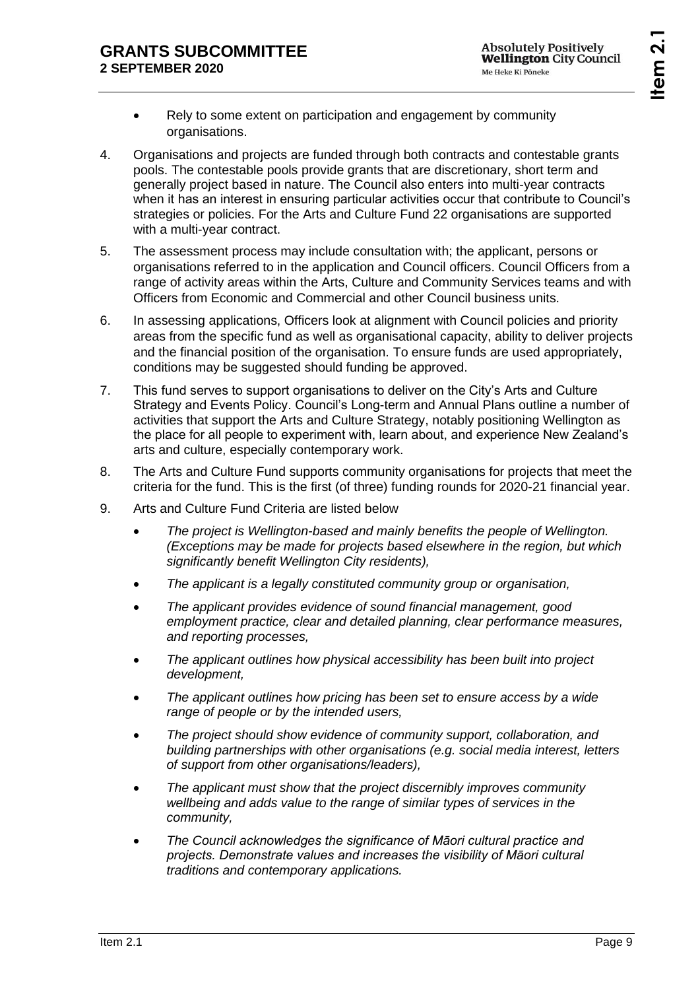- Rely to some extent on participation and engagement by community organisations.
- 4. Organisations and projects are funded through both contracts and contestable grants pools. The contestable pools provide grants that are discretionary, short term and generally project based in nature. The Council also enters into multi-year contracts when it has an interest in ensuring particular activities occur that contribute to Council's strategies or policies. For the Arts and Culture Fund 22 organisations are supported with a multi-year contract.
- 5. The assessment process may include consultation with; the applicant, persons or organisations referred to in the application and Council officers. Council Officers from a range of activity areas within the Arts, Culture and Community Services teams and with Officers from Economic and Commercial and other Council business units.
- 6. In assessing applications, Officers look at alignment with Council policies and priority areas from the specific fund as well as organisational capacity, ability to deliver projects and the financial position of the organisation. To ensure funds are used appropriately, conditions may be suggested should funding be approved.
- 7. This fund serves to support organisations to deliver on the City's Arts and Culture Strategy and Events Policy. Council's Long-term and Annual Plans outline a number of activities that support the Arts and Culture Strategy, notably positioning Wellington as the place for all people to experiment with, learn about, and experience New Zealand's arts and culture, especially contemporary work.
- 8. The Arts and Culture Fund supports community organisations for projects that meet the criteria for the fund. This is the first (of three) funding rounds for 2020-21 financial year.
- 9. Arts and Culture Fund Criteria are listed below
	- *The project is Wellington-based and mainly benefits the people of Wellington. (Exceptions may be made for projects based elsewhere in the region, but which significantly benefit Wellington City residents),*
	- *The applicant is a legally constituted community group or organisation,*
	- *The applicant provides evidence of sound financial management, good employment practice, clear and detailed planning, clear performance measures, and reporting processes,*
	- *The applicant outlines how physical accessibility has been built into project development,*
	- *The applicant outlines how pricing has been set to ensure access by a wide range of people or by the intended users,*
	- *The project should show evidence of community support, collaboration, and building partnerships with other organisations (e.g. social media interest, letters of support from other organisations/leaders),*
	- *The applicant must show that the project discernibly improves community wellbeing and adds value to the range of similar types of services in the community,*
	- *The Council acknowledges the significance of Māori cultural practice and projects. Demonstrate values and increases the visibility of Māori cultural traditions and contemporary applications.*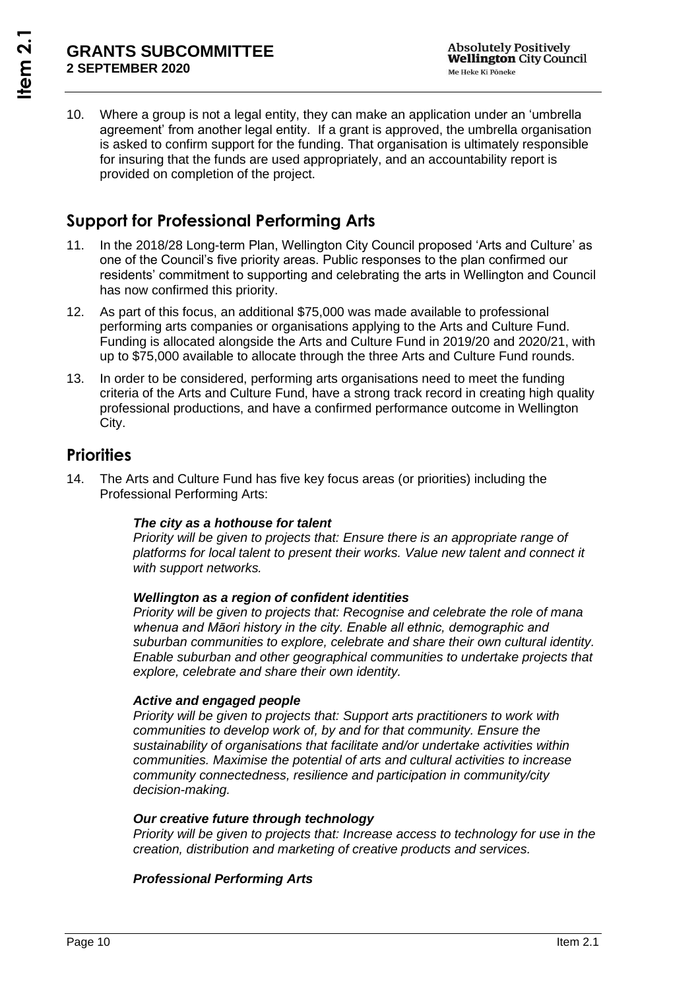10. Where a group is not a legal entity, they can make an application under an 'umbrella agreement' from another legal entity. If a grant is approved, the umbrella organisation is asked to confirm support for the funding. That organisation is ultimately responsible for insuring that the funds are used appropriately, and an accountability report is provided on completion of the project.

# **Support for Professional Performing Arts**

- 11. In the 2018/28 Long-term Plan, Wellington City Council proposed 'Arts and Culture' as one of the Council's five priority areas. Public responses to the plan confirmed our residents' commitment to supporting and celebrating the arts in Wellington and Council has now confirmed this priority.
- 12. As part of this focus, an additional \$75,000 was made available to professional performing arts companies or organisations applying to the Arts and Culture Fund. Funding is allocated alongside the Arts and Culture Fund in 2019/20 and 2020/21, with up to \$75,000 available to allocate through the three Arts and Culture Fund rounds.
- 13. In order to be considered, performing arts organisations need to meet the funding criteria of the Arts and Culture Fund, have a strong track record in creating high quality professional productions, and have a confirmed performance outcome in Wellington City.

### **Priorities**

14. The Arts and Culture Fund has five key focus areas (or priorities) including the Professional Performing Arts:

#### *The city as a hothouse for talent*

*Priority will be given to projects that: Ensure there is an appropriate range of platforms for local talent to present their works. Value new talent and connect it with support networks.*

#### *Wellington as a region of confident identities*

*Priority will be given to projects that: Recognise and celebrate the role of mana whenua and Māori history in the city. Enable all ethnic, demographic and suburban communities to explore, celebrate and share their own cultural identity. Enable suburban and other geographical communities to undertake projects that explore, celebrate and share their own identity.*

#### *Active and engaged people*

*Priority will be given to projects that: Support arts practitioners to work with communities to develop work of, by and for that community. Ensure the sustainability of organisations that facilitate and/or undertake activities within communities. Maximise the potential of arts and cultural activities to increase community connectedness, resilience and participation in community/city decision-making.*

#### *Our creative future through technology*

*Priority will be given to projects that: Increase access to technology for use in the creation, distribution and marketing of creative products and services.*

#### *Professional Performing Arts*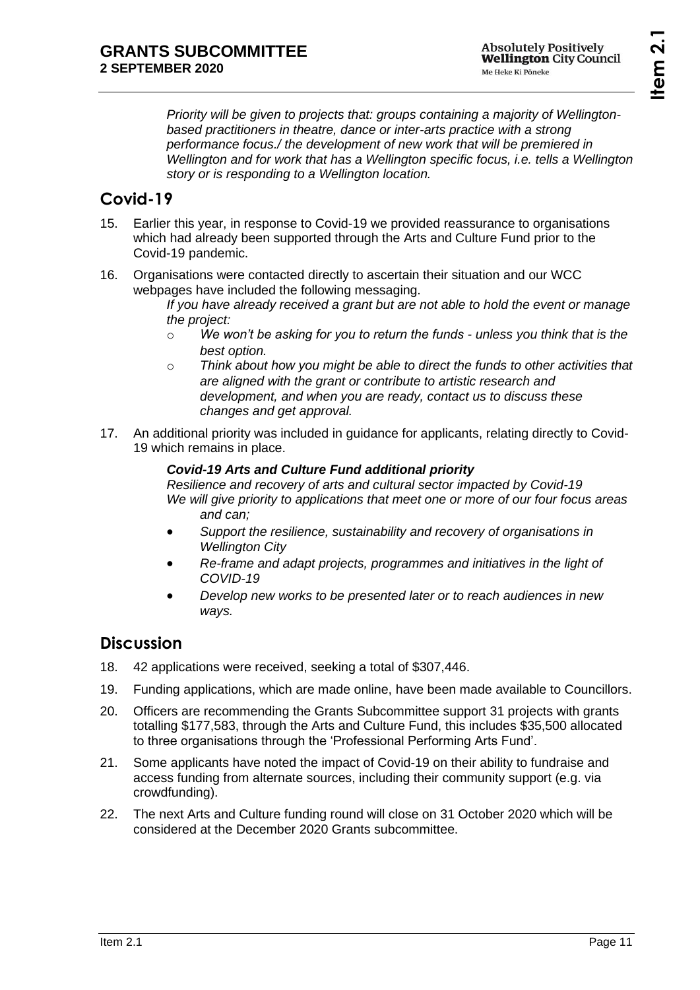*Priority will be given to projects that: groups containing a majority of Wellingtonbased practitioners in theatre, dance or inter-arts practice with a strong performance focus./ the development of new work that will be premiered in Wellington and for work that has a Wellington specific focus, i.e. tells a Wellington story or is responding to a Wellington location.*

# **Covid-19**

- 15. Earlier this year, in response to Covid-19 we provided reassurance to organisations which had already been supported through the Arts and Culture Fund prior to the Covid-19 pandemic.
- 16. Organisations were contacted directly to ascertain their situation and our WCC webpages have included the following messaging.
	- *If you have already received a grant but are not able to hold the event or manage the project:*
	- o *We won't be asking for you to return the funds - unless you think that is the best option.*
	- o *Think about how you might be able to direct the funds to other activities that are aligned with the grant or contribute to artistic research and development, and when you are ready, contact us to discuss these changes and get approval.*
- 17. An additional priority was included in guidance for applicants, relating directly to Covid-19 which remains in place.

#### *Covid-19 Arts and Culture Fund additional priority*

*Resilience and recovery of arts and cultural sector impacted by Covid-19 We will give priority to applications that meet one or more of our four focus areas and can;*

- *Support the resilience, sustainability and recovery of organisations in Wellington City*
- *Re-frame and adapt projects, programmes and initiatives in the light of COVID-19*
- *Develop new works to be presented later or to reach audiences in new ways.*

## **Discussion**

- 18. 42 applications were received, seeking a total of \$307,446.
- 19. Funding applications, which are made online, have been made available to Councillors.
- 20. Officers are recommending the Grants Subcommittee support 31 projects with grants totalling \$177,583, through the Arts and Culture Fund, this includes \$35,500 allocated to three organisations through the 'Professional Performing Arts Fund'.
- 21. Some applicants have noted the impact of Covid-19 on their ability to fundraise and access funding from alternate sources, including their community support (e.g. via crowdfunding).
- 22. The next Arts and Culture funding round will close on 31 October 2020 which will be considered at the December 2020 Grants subcommittee.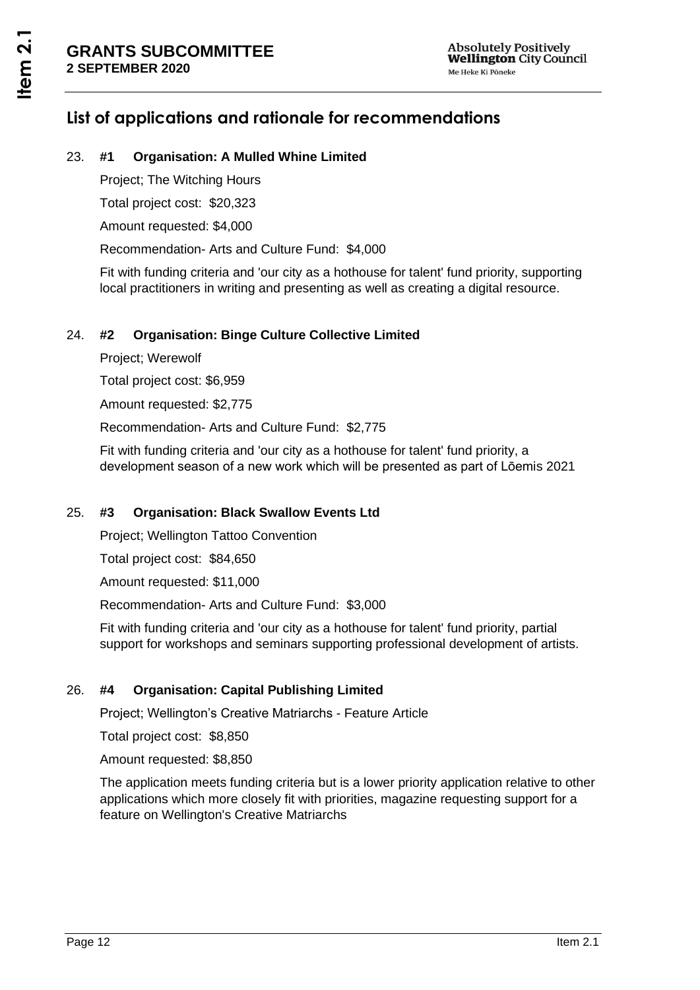# **List of applications and rationale for recommendations**

#### 23. **#1 Organisation: A Mulled Whine Limited**

Project; The Witching Hours

Total project cost: \$20,323

Amount requested: \$4,000

Recommendation- Arts and Culture Fund: \$4,000

Fit with funding criteria and 'our city as a hothouse for talent' fund priority, supporting local practitioners in writing and presenting as well as creating a digital resource.

#### 24. **#2 Organisation: Binge Culture Collective Limited**

Project; Werewolf

Total project cost: \$6,959

Amount requested: \$2,775

Recommendation- Arts and Culture Fund: \$2,775

Fit with funding criteria and 'our city as a hothouse for talent' fund priority, a development season of a new work which will be presented as part of Lōemis 2021

#### 25. **#3 Organisation: Black Swallow Events Ltd**

Project; Wellington Tattoo Convention

Total project cost: \$84,650

Amount requested: \$11,000

Recommendation- Arts and Culture Fund: \$3,000

Fit with funding criteria and 'our city as a hothouse for talent' fund priority, partial support for workshops and seminars supporting professional development of artists.

#### 26. **#4 Organisation: Capital Publishing Limited**

Project; Wellington's Creative Matriarchs - Feature Article

Total project cost: \$8,850

Amount requested: \$8,850

The application meets funding criteria but is a lower priority application relative to other applications which more closely fit with priorities, magazine requesting support for a feature on Wellington's Creative Matriarchs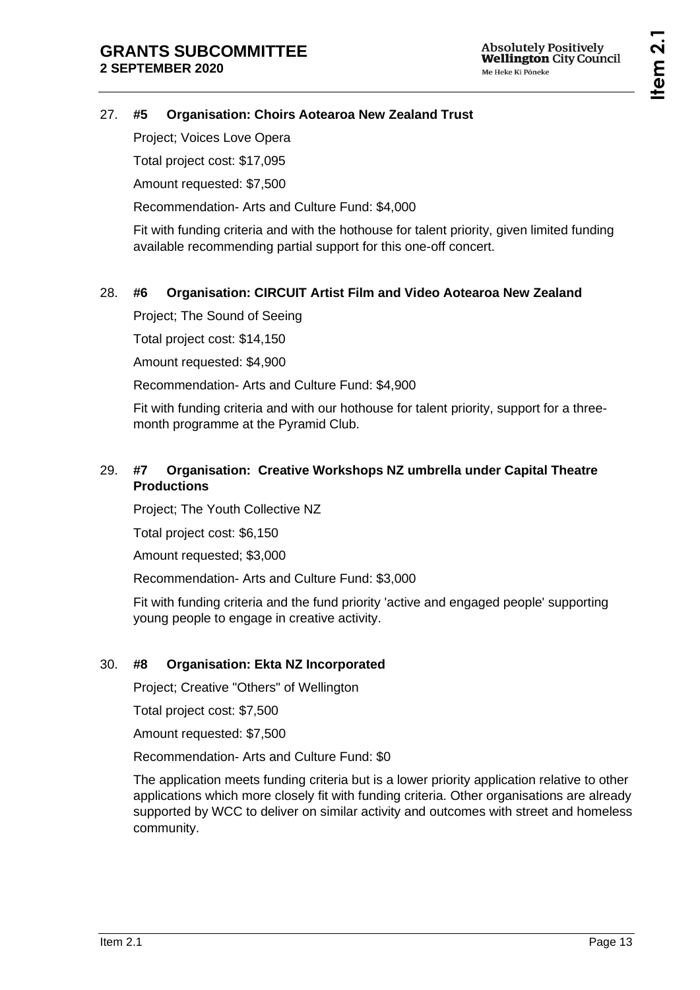**Item 2.1**

### 27. **#5 Organisation: Choirs Aotearoa New Zealand Trust**

Project; Voices Love Opera

Total project cost: \$17,095

Amount requested: \$7,500

Recommendation- Arts and Culture Fund: \$4,000

Fit with funding criteria and with the hothouse for talent priority, given limited funding available recommending partial support for this one-off concert.

### 28. **#6 Organisation: CIRCUIT Artist Film and Video Aotearoa New Zealand**

Project; The Sound of Seeing

Total project cost: \$14,150

Amount requested: \$4,900

Recommendation- Arts and Culture Fund: \$4,900

Fit with funding criteria and with our hothouse for talent priority, support for a threemonth programme at the Pyramid Club.

### 29. **#7 Organisation: Creative Workshops NZ umbrella under Capital Theatre Productions**

Project; The Youth Collective NZ

Total project cost: \$6,150

Amount requested; \$3,000

Recommendation- Arts and Culture Fund: \$3,000

Fit with funding criteria and the fund priority 'active and engaged people' supporting young people to engage in creative activity.

#### 30. **#8 Organisation: Ekta NZ Incorporated**

Project; Creative "Others" of Wellington

Total project cost: \$7,500

Amount requested: \$7,500

Recommendation- Arts and Culture Fund: \$0

The application meets funding criteria but is a lower priority application relative to other applications which more closely fit with funding criteria. Other organisations are already supported by WCC to deliver on similar activity and outcomes with street and homeless community.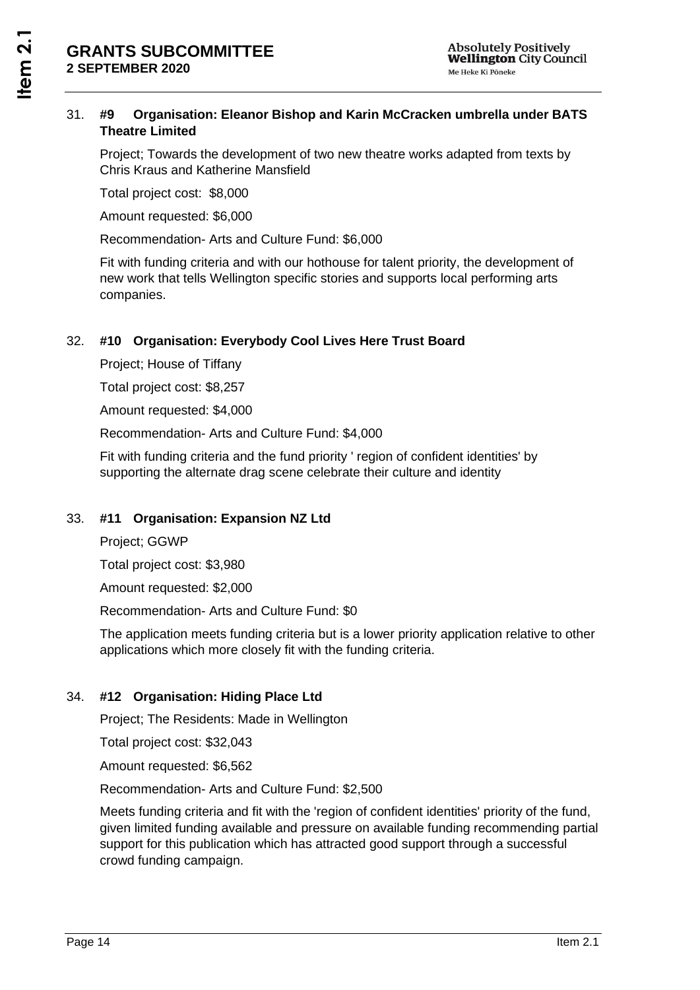### 31. **#9 Organisation: Eleanor Bishop and Karin McCracken umbrella under BATS Theatre Limited**

Project; Towards the development of two new theatre works adapted from texts by Chris Kraus and Katherine Mansfield

Total project cost: \$8,000

Amount requested: \$6,000

Recommendation- Arts and Culture Fund: \$6,000

Fit with funding criteria and with our hothouse for talent priority, the development of new work that tells Wellington specific stories and supports local performing arts companies.

### 32. **#10 Organisation: Everybody Cool Lives Here Trust Board**

Project; House of Tiffany

Total project cost: \$8,257

Amount requested: \$4,000

Recommendation- Arts and Culture Fund: \$4,000

Fit with funding criteria and the fund priority ' region of confident identities' by supporting the alternate drag scene celebrate their culture and identity

#### 33. **#11 Organisation: Expansion NZ Ltd**

Project; GGWP

Total project cost: \$3,980

Amount requested: \$2,000

Recommendation- Arts and Culture Fund: \$0

The application meets funding criteria but is a lower priority application relative to other applications which more closely fit with the funding criteria.

#### 34. **#12 Organisation: Hiding Place Ltd**

Project; The Residents: Made in Wellington

Total project cost: \$32,043

Amount requested: \$6,562

Recommendation- Arts and Culture Fund: \$2,500

Meets funding criteria and fit with the 'region of confident identities' priority of the fund, given limited funding available and pressure on available funding recommending partial support for this publication which has attracted good support through a successful crowd funding campaign.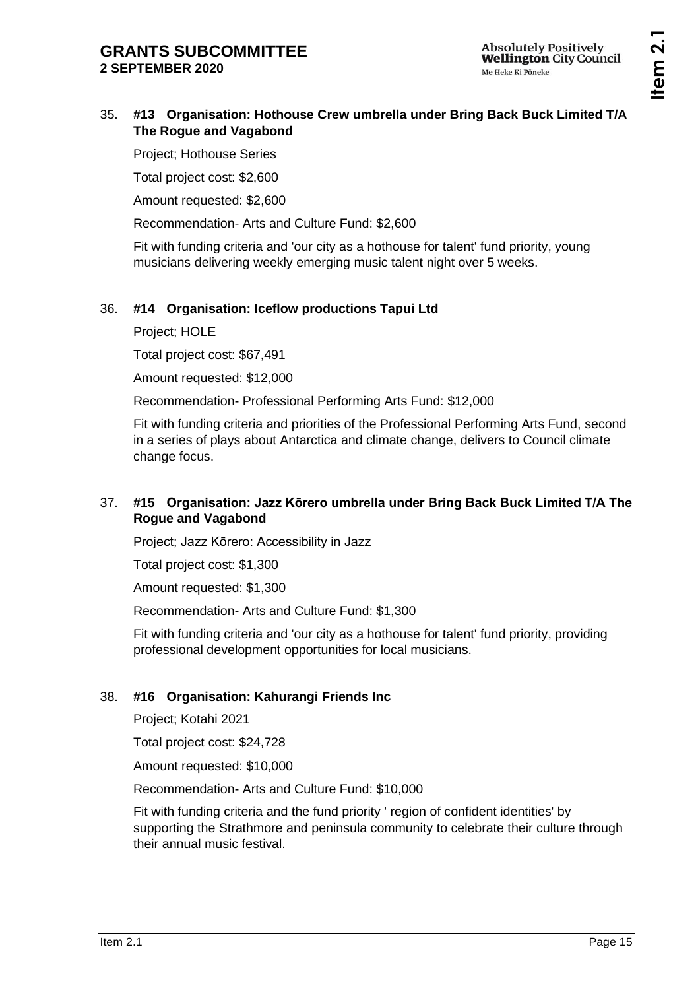#### 35. **#13 Organisation: Hothouse Crew umbrella under Bring Back Buck Limited T/A The Rogue and Vagabond**

Project; Hothouse Series

Total project cost: \$2,600

Amount requested: \$2,600

Recommendation- Arts and Culture Fund: \$2,600

Fit with funding criteria and 'our city as a hothouse for talent' fund priority, young musicians delivering weekly emerging music talent night over 5 weeks.

### 36. **#14 Organisation: Iceflow productions Tapui Ltd**

Project; HOLE

Total project cost: \$67,491

Amount requested: \$12,000

Recommendation- Professional Performing Arts Fund: \$12,000

Fit with funding criteria and priorities of the Professional Performing Arts Fund, second in a series of plays about Antarctica and climate change, delivers to Council climate change focus.

#### 37. **#15 Organisation: Jazz Kōrero umbrella under Bring Back Buck Limited T/A The Rogue and Vagabond**

Project; Jazz Kōrero: Accessibility in Jazz

Total project cost: \$1,300

Amount requested: \$1,300

Recommendation- Arts and Culture Fund: \$1,300

Fit with funding criteria and 'our city as a hothouse for talent' fund priority, providing professional development opportunities for local musicians.

#### 38. **#16 Organisation: Kahurangi Friends Inc**

Project; Kotahi 2021

Total project cost: \$24,728

Amount requested: \$10,000

Recommendation- Arts and Culture Fund: \$10,000

Fit with funding criteria and the fund priority ' region of confident identities' by supporting the Strathmore and peninsula community to celebrate their culture through their annual music festival.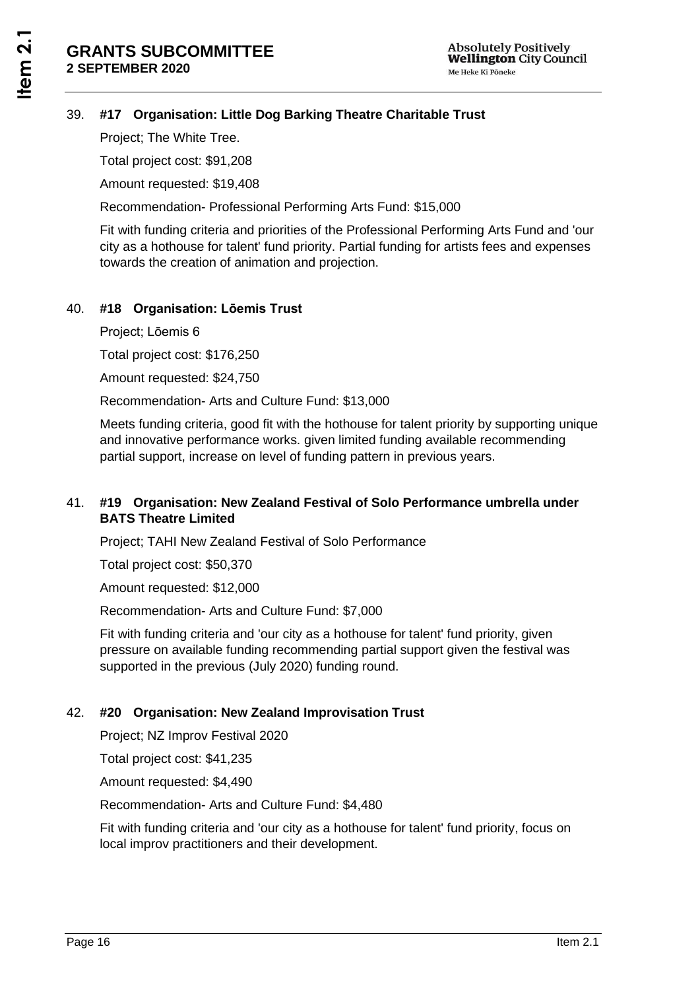### 39. **#17 Organisation: Little Dog Barking Theatre Charitable Trust**

Project; The White Tree.

Total project cost: \$91,208

Amount requested: \$19,408

Recommendation- Professional Performing Arts Fund: \$15,000

Fit with funding criteria and priorities of the Professional Performing Arts Fund and 'our city as a hothouse for talent' fund priority. Partial funding for artists fees and expenses towards the creation of animation and projection.

#### 40. **#18 Organisation: Lōemis Trust**

Project; Lōemis 6

Total project cost: \$176,250

Amount requested: \$24,750

Recommendation- Arts and Culture Fund: \$13,000

Meets funding criteria, good fit with the hothouse for talent priority by supporting unique and innovative performance works. given limited funding available recommending partial support, increase on level of funding pattern in previous years.

#### 41. **#19 Organisation: New Zealand Festival of Solo Performance umbrella under BATS Theatre Limited**

Project; TAHI New Zealand Festival of Solo Performance

Total project cost: \$50,370

Amount requested: \$12,000

Recommendation- Arts and Culture Fund: \$7,000

Fit with funding criteria and 'our city as a hothouse for talent' fund priority, given pressure on available funding recommending partial support given the festival was supported in the previous (July 2020) funding round.

#### 42. **#20 Organisation: New Zealand Improvisation Trust**

Project; NZ Improv Festival 2020

Total project cost: \$41,235

Amount requested: \$4,490

Recommendation- Arts and Culture Fund: \$4,480

Fit with funding criteria and 'our city as a hothouse for talent' fund priority, focus on local improv practitioners and their development.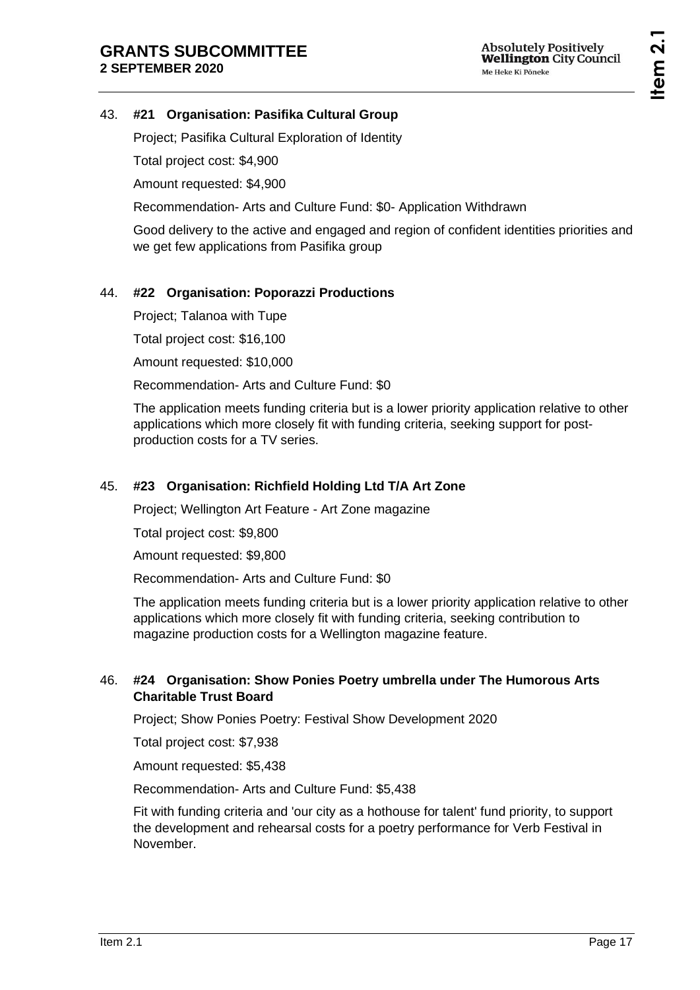**Item 2.1**

### 43. **#21 Organisation: Pasifika Cultural Group**

Project; Pasifika Cultural Exploration of Identity

Total project cost: \$4,900

Amount requested: \$4,900

Recommendation- Arts and Culture Fund: \$0- Application Withdrawn

Good delivery to the active and engaged and region of confident identities priorities and we get few applications from Pasifika group

#### 44. **#22 Organisation: Poporazzi Productions**

Project; Talanoa with Tupe

Total project cost: \$16,100

Amount requested: \$10,000

Recommendation- Arts and Culture Fund: \$0

The application meets funding criteria but is a lower priority application relative to other applications which more closely fit with funding criteria, seeking support for postproduction costs for a TV series.

#### 45. **#23 Organisation: Richfield Holding Ltd T/A Art Zone**

Project; Wellington Art Feature - Art Zone magazine

Total project cost: \$9,800

Amount requested: \$9,800

Recommendation- Arts and Culture Fund: \$0

The application meets funding criteria but is a lower priority application relative to other applications which more closely fit with funding criteria, seeking contribution to magazine production costs for a Wellington magazine feature.

#### 46. **#24 Organisation: Show Ponies Poetry umbrella under The Humorous Arts Charitable Trust Board**

Project; Show Ponies Poetry: Festival Show Development 2020

Total project cost: \$7,938

Amount requested: \$5,438

Recommendation- Arts and Culture Fund: \$5,438

Fit with funding criteria and 'our city as a hothouse for talent' fund priority, to support the development and rehearsal costs for a poetry performance for Verb Festival in November.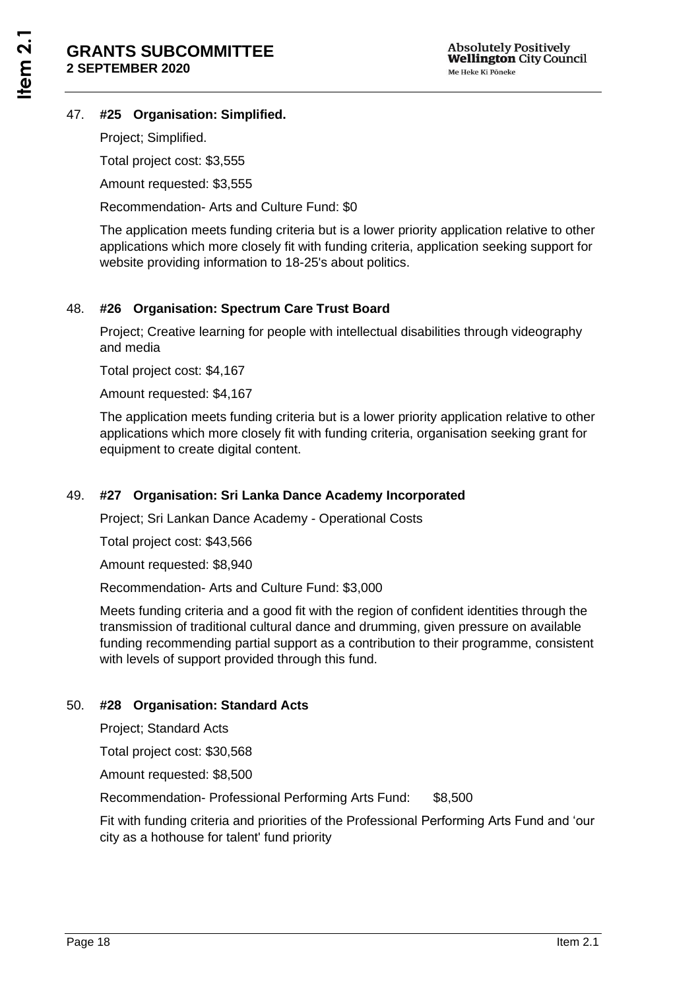#### 47. **#25 Organisation: Simplified.**

Project; Simplified.

Total project cost: \$3,555

Amount requested: \$3,555

Recommendation- Arts and Culture Fund: \$0

The application meets funding criteria but is a lower priority application relative to other applications which more closely fit with funding criteria, application seeking support for website providing information to 18-25's about politics.

#### 48. **#26 Organisation: Spectrum Care Trust Board**

Project; Creative learning for people with intellectual disabilities through videography and media

Total project cost: \$4,167

Amount requested: \$4,167

The application meets funding criteria but is a lower priority application relative to other applications which more closely fit with funding criteria, organisation seeking grant for equipment to create digital content.

#### 49. **#27 Organisation: Sri Lanka Dance Academy Incorporated**

Project; Sri Lankan Dance Academy - Operational Costs

Total project cost: \$43,566

Amount requested: \$8,940

Recommendation- Arts and Culture Fund: \$3,000

Meets funding criteria and a good fit with the region of confident identities through the transmission of traditional cultural dance and drumming, given pressure on available funding recommending partial support as a contribution to their programme, consistent with levels of support provided through this fund.

#### 50. **#28 Organisation: Standard Acts**

Project; Standard Acts

Total project cost: \$30,568

Amount requested: \$8,500

Recommendation- Professional Performing Arts Fund: \$8,500

Fit with funding criteria and priorities of the Professional Performing Arts Fund and 'our city as a hothouse for talent' fund priority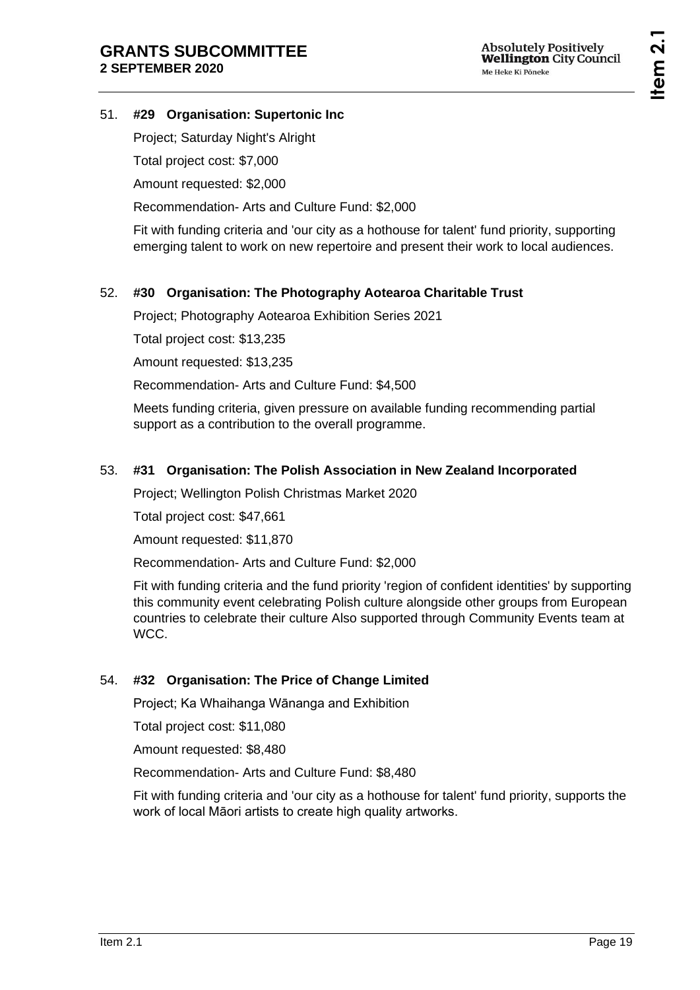### 51. **#29 Organisation: Supertonic Inc**

Project; Saturday Night's Alright

Total project cost: \$7,000

Amount requested: \$2,000

Recommendation- Arts and Culture Fund: \$2,000

Fit with funding criteria and 'our city as a hothouse for talent' fund priority, supporting emerging talent to work on new repertoire and present their work to local audiences.

### 52. **#30 Organisation: The Photography Aotearoa Charitable Trust**

Project; Photography Aotearoa Exhibition Series 2021

Total project cost: \$13,235

Amount requested: \$13,235

Recommendation- Arts and Culture Fund: \$4,500

Meets funding criteria, given pressure on available funding recommending partial support as a contribution to the overall programme.

#### 53. **#31 Organisation: The Polish Association in New Zealand Incorporated**

Project; Wellington Polish Christmas Market 2020

Total project cost: \$47,661

Amount requested: \$11,870

Recommendation- Arts and Culture Fund: \$2,000

Fit with funding criteria and the fund priority 'region of confident identities' by supporting this community event celebrating Polish culture alongside other groups from European countries to celebrate their culture Also supported through Community Events team at WCC.

#### 54. **#32 Organisation: The Price of Change Limited**

Project; Ka Whaihanga Wānanga and Exhibition

Total project cost: \$11,080

Amount requested: \$8,480

Recommendation- Arts and Culture Fund: \$8,480

Fit with funding criteria and 'our city as a hothouse for talent' fund priority, supports the work of local Māori artists to create high quality artworks.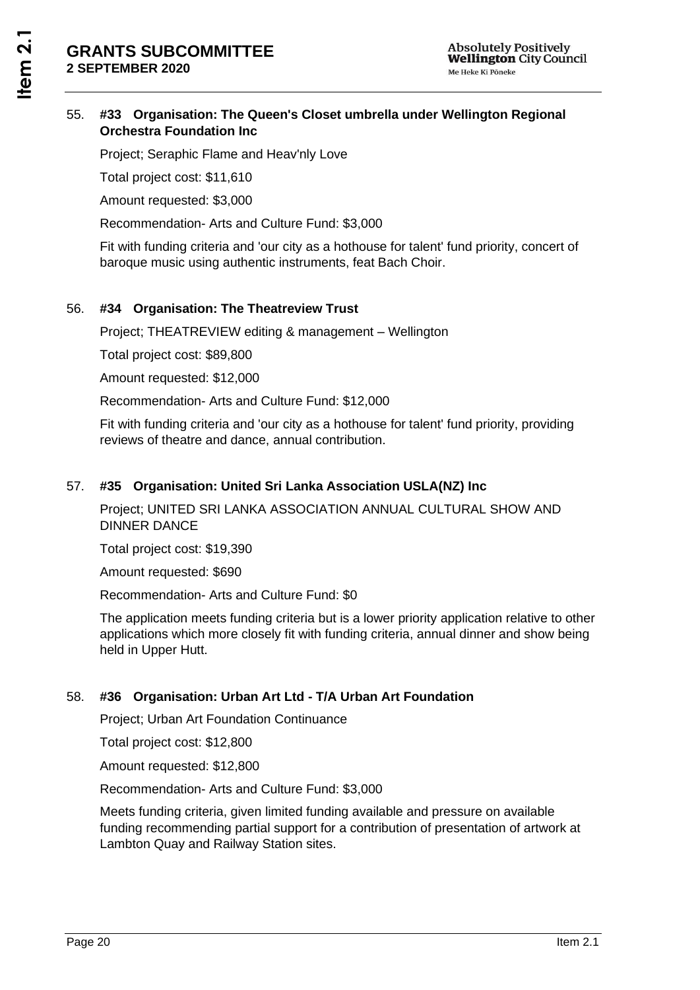### 55. **#33 Organisation: The Queen's Closet umbrella under Wellington Regional Orchestra Foundation Inc**

Project; Seraphic Flame and Heav'nly Love

Total project cost: \$11,610

Amount requested: \$3,000

Recommendation- Arts and Culture Fund: \$3,000

Fit with funding criteria and 'our city as a hothouse for talent' fund priority, concert of baroque music using authentic instruments, feat Bach Choir.

#### 56. **#34 Organisation: The Theatreview Trust**

Project; THEATREVIEW editing & management – Wellington

Total project cost: \$89,800

Amount requested: \$12,000

Recommendation- Arts and Culture Fund: \$12,000

Fit with funding criteria and 'our city as a hothouse for talent' fund priority, providing reviews of theatre and dance, annual contribution.

#### 57. **#35 Organisation: United Sri Lanka Association USLA(NZ) Inc**

Project; UNITED SRI LANKA ASSOCIATION ANNUAL CULTURAL SHOW AND DINNER DANCE

Total project cost: \$19,390

Amount requested: \$690

Recommendation- Arts and Culture Fund: \$0

The application meets funding criteria but is a lower priority application relative to other applications which more closely fit with funding criteria, annual dinner and show being held in Upper Hutt.

#### 58. **#36 Organisation: Urban Art Ltd - T/A Urban Art Foundation**

Project; Urban Art Foundation Continuance

Total project cost: \$12,800

Amount requested: \$12,800

Recommendation- Arts and Culture Fund: \$3,000

Meets funding criteria, given limited funding available and pressure on available funding recommending partial support for a contribution of presentation of artwork at Lambton Quay and Railway Station sites.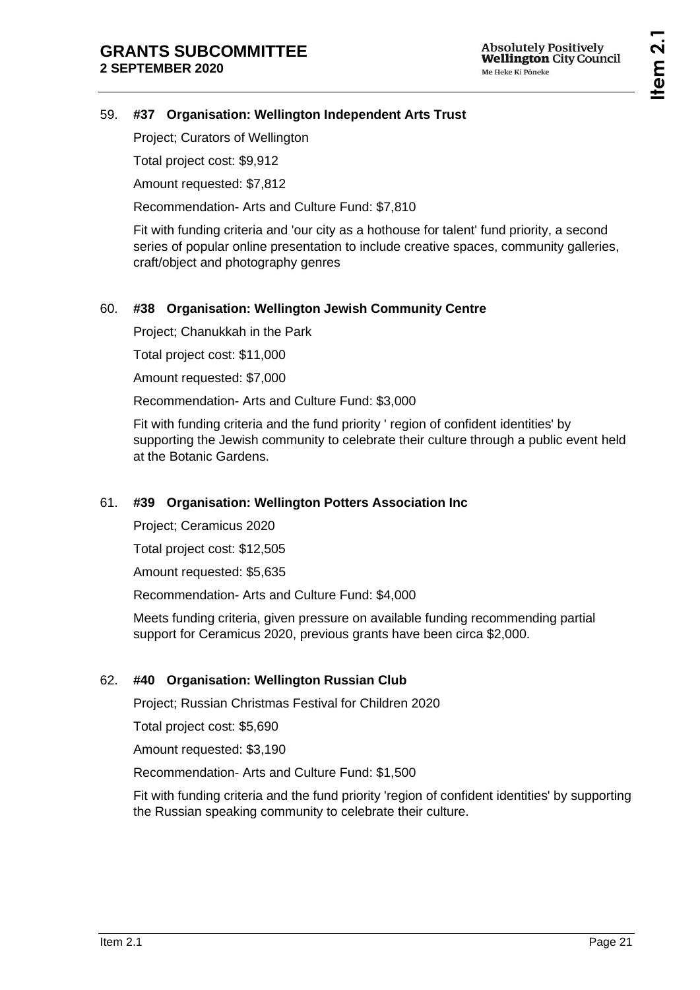### 59. **#37 Organisation: Wellington Independent Arts Trust**

Project; Curators of Wellington

Total project cost: \$9,912

Amount requested: \$7,812

Recommendation- Arts and Culture Fund: \$7,810

Fit with funding criteria and 'our city as a hothouse for talent' fund priority, a second series of popular online presentation to include creative spaces, community galleries, craft/object and photography genres

#### 60. **#38 Organisation: Wellington Jewish Community Centre**

Project; Chanukkah in the Park

Total project cost: \$11,000

Amount requested: \$7,000

Recommendation- Arts and Culture Fund: \$3,000

Fit with funding criteria and the fund priority ' region of confident identities' by supporting the Jewish community to celebrate their culture through a public event held at the Botanic Gardens.

#### 61. **#39 Organisation: Wellington Potters Association Inc**

Project; Ceramicus 2020

Total project cost: \$12,505

Amount requested: \$5,635

Recommendation- Arts and Culture Fund: \$4,000

Meets funding criteria, given pressure on available funding recommending partial support for Ceramicus 2020, previous grants have been circa \$2,000.

#### 62. **#40 Organisation: Wellington Russian Club**

Project; Russian Christmas Festival for Children 2020

Total project cost: \$5,690

Amount requested: \$3,190

Recommendation- Arts and Culture Fund: \$1,500

Fit with funding criteria and the fund priority 'region of confident identities' by supporting the Russian speaking community to celebrate their culture.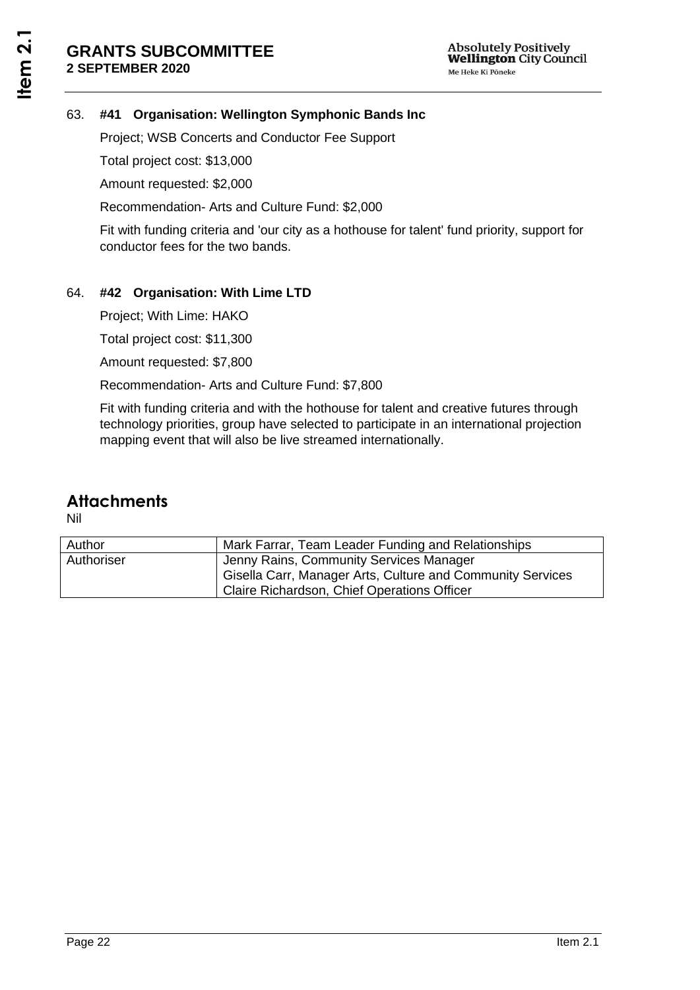### 63. **#41 Organisation: Wellington Symphonic Bands Inc**

Project; WSB Concerts and Conductor Fee Support

Total project cost: \$13,000

Amount requested: \$2,000

Recommendation- Arts and Culture Fund: \$2,000

Fit with funding criteria and 'our city as a hothouse for talent' fund priority, support for conductor fees for the two bands.

#### 64. **#42 Organisation: With Lime LTD**

Project; With Lime: HAKO

Total project cost: \$11,300

Amount requested: \$7,800

Recommendation- Arts and Culture Fund: \$7,800

Fit with funding criteria and with the hothouse for talent and creative futures through technology priorities, group have selected to participate in an international projection mapping event that will also be live streamed internationally.

### **Attachments**

Nil

| Author     | Mark Farrar, Team Leader Funding and Relationships                                                                                                   |
|------------|------------------------------------------------------------------------------------------------------------------------------------------------------|
| Authoriser | Jenny Rains, Community Services Manager<br>Gisella Carr, Manager Arts, Culture and Community Services<br>Claire Richardson, Chief Operations Officer |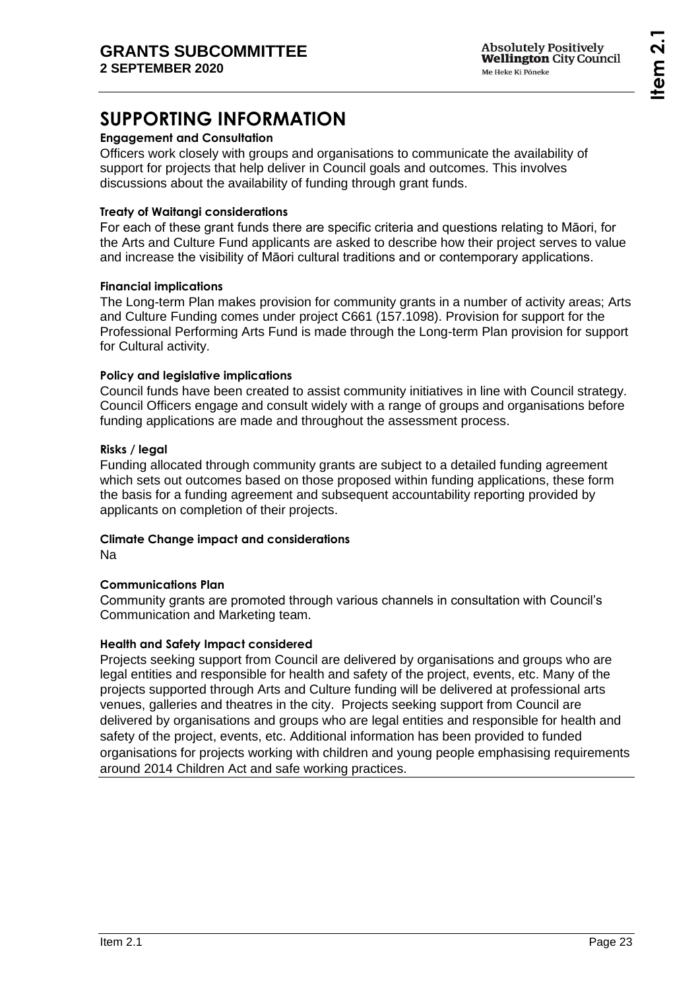# **SUPPORTING INFORMATION**

### **Engagement and Consultation**

Officers work closely with groups and organisations to communicate the availability of support for projects that help deliver in Council goals and outcomes. This involves discussions about the availability of funding through grant funds.

#### **Treaty of Waitangi considerations**

For each of these grant funds there are specific criteria and questions relating to Māori, for the Arts and Culture Fund applicants are asked to describe how their project serves to value and increase the visibility of Māori cultural traditions and or contemporary applications.

#### **Financial implications**

The Long-term Plan makes provision for community grants in a number of activity areas; Arts and Culture Funding comes under project C661 (157.1098). Provision for support for the Professional Performing Arts Fund is made through the Long-term Plan provision for support for Cultural activity.

#### **Policy and legislative implications**

Council funds have been created to assist community initiatives in line with Council strategy. Council Officers engage and consult widely with a range of groups and organisations before funding applications are made and throughout the assessment process.

#### **Risks / legal**

Funding allocated through community grants are subject to a detailed funding agreement which sets out outcomes based on those proposed within funding applications, these form the basis for a funding agreement and subsequent accountability reporting provided by applicants on completion of their projects.

**Climate Change impact and considerations**

Na

#### **Communications Plan**

Community grants are promoted through various channels in consultation with Council's Communication and Marketing team.

#### **Health and Safety Impact considered**

Projects seeking support from Council are delivered by organisations and groups who are legal entities and responsible for health and safety of the project, events, etc. Many of the projects supported through Arts and Culture funding will be delivered at professional arts venues, galleries and theatres in the city. Projects seeking support from Council are delivered by organisations and groups who are legal entities and responsible for health and safety of the project, events, etc. Additional information has been provided to funded organisations for projects working with children and young people emphasising requirements around 2014 Children Act and safe working practices.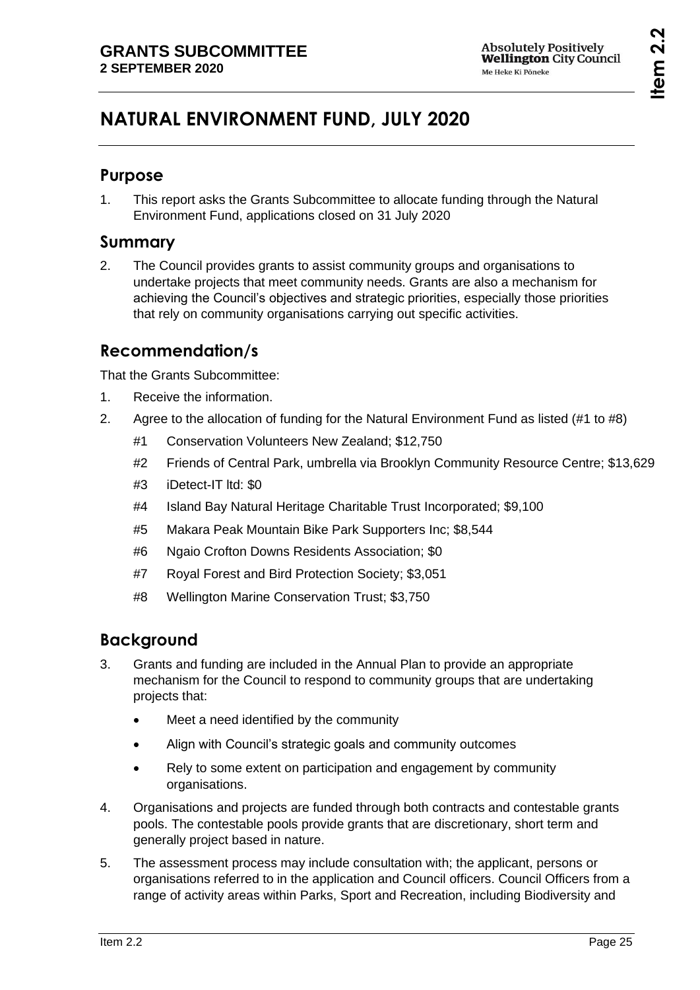# <span id="page-24-0"></span>**NATURAL ENVIRONMENT FUND, JULY 2020**

### **Purpose**

1. This report asks the Grants Subcommittee to allocate funding through the Natural Environment Fund, applications closed on 31 July 2020

## **Summary**

2. The Council provides grants to assist community groups and organisations to undertake projects that meet community needs. Grants are also a mechanism for achieving the Council's objectives and strategic priorities, especially those priorities that rely on community organisations carrying out specific activities.

# **Recommendation/s**

That the Grants Subcommittee:

- 1. Receive the information.
- 2. Agree to the allocation of funding for the Natural Environment Fund as listed (#1 to #8)
	- #1 Conservation Volunteers New Zealand; \$12,750
	- #2 Friends of Central Park, umbrella via Brooklyn Community Resource Centre; \$13,629
	- #3 iDetect-IT ltd: \$0
	- #4 Island Bay Natural Heritage Charitable Trust Incorporated; \$9,100
	- #5 Makara Peak Mountain Bike Park Supporters Inc; \$8,544
	- #6 Ngaio Crofton Downs Residents Association; \$0
	- #7 Royal Forest and Bird Protection Society; \$3,051
	- #8 Wellington Marine Conservation Trust; \$3,750

# **Background**

- 3. Grants and funding are included in the Annual Plan to provide an appropriate mechanism for the Council to respond to community groups that are undertaking projects that:
	- Meet a need identified by the community
	- Align with Council's strategic goals and community outcomes
	- Rely to some extent on participation and engagement by community organisations.
- 4. Organisations and projects are funded through both contracts and contestable grants pools. The contestable pools provide grants that are discretionary, short term and generally project based in nature.
- 5. The assessment process may include consultation with; the applicant, persons or organisations referred to in the application and Council officers. Council Officers from a range of activity areas within Parks, Sport and Recreation, including Biodiversity and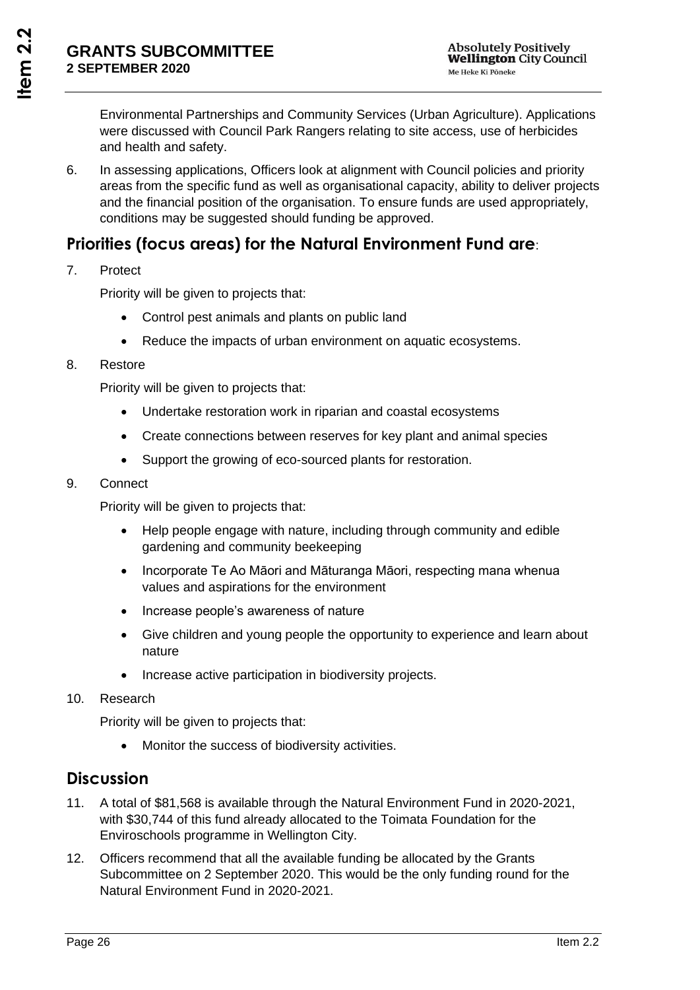Environmental Partnerships and Community Services (Urban Agriculture). Applications were discussed with Council Park Rangers relating to site access, use of herbicides and health and safety.

6. In assessing applications, Officers look at alignment with Council policies and priority areas from the specific fund as well as organisational capacity, ability to deliver projects and the financial position of the organisation. To ensure funds are used appropriately, conditions may be suggested should funding be approved.

## **Priorities (focus areas) for the Natural Environment Fund are**:

7. Protect

Priority will be given to projects that:

- Control pest animals and plants on public land
- Reduce the impacts of urban environment on aquatic ecosystems.

#### 8. Restore

Priority will be given to projects that:

- Undertake restoration work in riparian and coastal ecosystems
- Create connections between reserves for key plant and animal species
- Support the growing of eco-sourced plants for restoration.

#### 9. Connect

Priority will be given to projects that:

- Help people engage with nature, including through community and edible gardening and community beekeeping
- Incorporate Te Ao Māori and Māturanga Māori, respecting mana whenua values and aspirations for the environment
- Increase people's awareness of nature
- Give children and young people the opportunity to experience and learn about nature
- Increase active participation in biodiversity projects.

#### 10. Research

Priority will be given to projects that:

• Monitor the success of biodiversity activities.

### **Discussion**

- 11. A total of \$81,568 is available through the Natural Environment Fund in 2020-2021, with \$30,744 of this fund already allocated to the Toimata Foundation for the Enviroschools programme in Wellington City.
- 12. Officers recommend that all the available funding be allocated by the Grants Subcommittee on 2 September 2020. This would be the only funding round for the Natural Environment Fund in 2020-2021.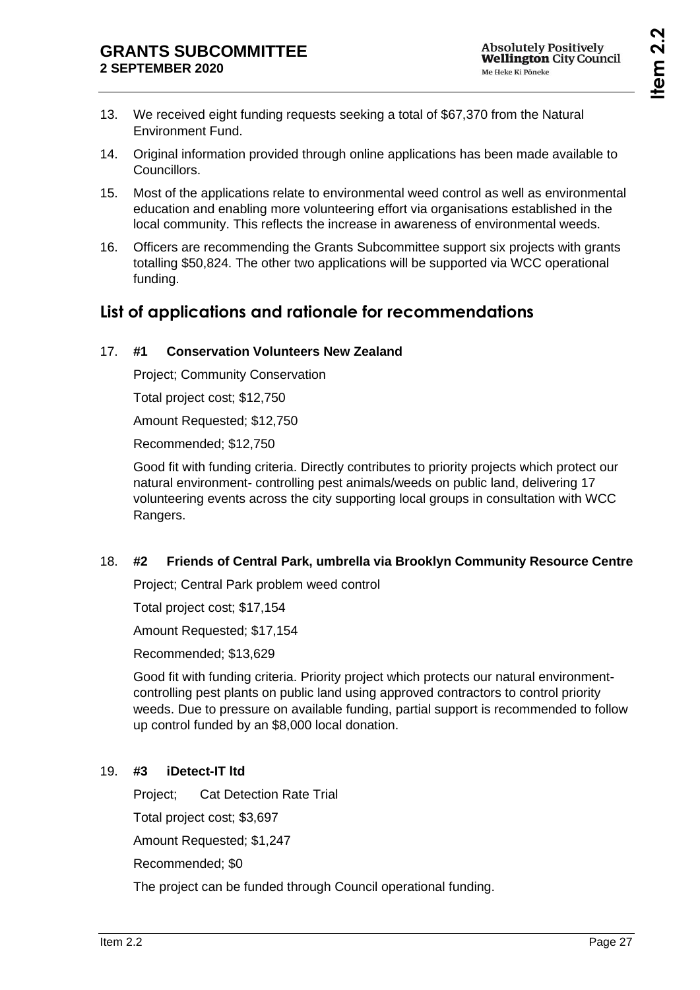- 13. We received eight funding requests seeking a total of \$67,370 from the Natural Environment Fund.
- 14. Original information provided through online applications has been made available to Councillors.
- 15. Most of the applications relate to environmental weed control as well as environmental education and enabling more volunteering effort via organisations established in the local community. This reflects the increase in awareness of environmental weeds.
- 16. Officers are recommending the Grants Subcommittee support six projects with grants totalling \$50,824. The other two applications will be supported via WCC operational funding.

# **List of applications and rationale for recommendations**

#### 17. **#1 Conservation Volunteers New Zealand**

Project; Community Conservation

Total project cost; \$12,750

Amount Requested; \$12,750

Recommended; \$12,750

Good fit with funding criteria. Directly contributes to priority projects which protect our natural environment- controlling pest animals/weeds on public land, delivering 17 volunteering events across the city supporting local groups in consultation with WCC Rangers.

#### 18. **#2 Friends of Central Park, umbrella via Brooklyn Community Resource Centre**

Project; Central Park problem weed control

Total project cost; \$17,154

Amount Requested; \$17,154

Recommended; \$13,629

Good fit with funding criteria. Priority project which protects our natural environmentcontrolling pest plants on public land using approved contractors to control priority weeds. Due to pressure on available funding, partial support is recommended to follow up control funded by an \$8,000 local donation.

#### 19. **#3 iDetect-IT ltd**

Project; Cat Detection Rate Trial Total project cost; \$3,697 Amount Requested; \$1,247 Recommended; \$0 The project can be funded through Council operational funding.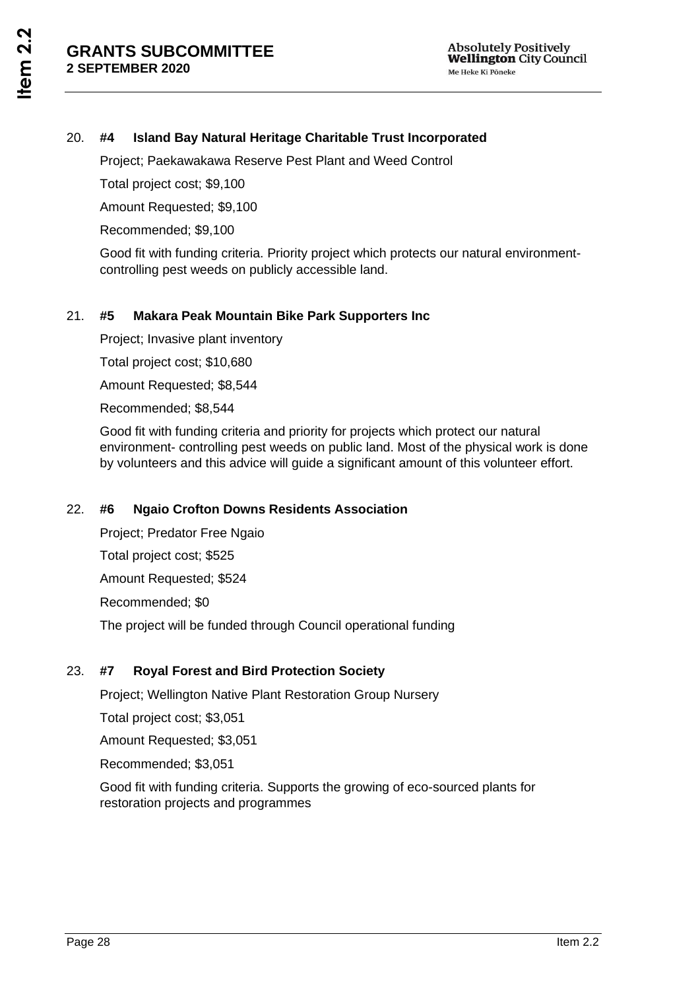### 20. **#4 Island Bay Natural Heritage Charitable Trust Incorporated**

Project; Paekawakawa Reserve Pest Plant and Weed Control

Total project cost; \$9,100

Amount Requested; \$9,100

Recommended; \$9,100

Good fit with funding criteria. Priority project which protects our natural environmentcontrolling pest weeds on publicly accessible land.

#### 21. **#5 Makara Peak Mountain Bike Park Supporters Inc**

Project; Invasive plant inventory

Total project cost; \$10,680

Amount Requested; \$8,544

Recommended; \$8,544

Good fit with funding criteria and priority for projects which protect our natural environment- controlling pest weeds on public land. Most of the physical work is done by volunteers and this advice will guide a significant amount of this volunteer effort.

#### 22. **#6 Ngaio Crofton Downs Residents Association**

Project; Predator Free Ngaio Total project cost; \$525 Amount Requested; \$524 Recommended; \$0 The project will be funded through Council operational funding

#### 23. **#7 Royal Forest and Bird Protection Society**

Project; Wellington Native Plant Restoration Group Nursery

Total project cost; \$3,051

Amount Requested; \$3,051

Recommended; \$3,051

Good fit with funding criteria. Supports the growing of eco-sourced plants for restoration projects and programmes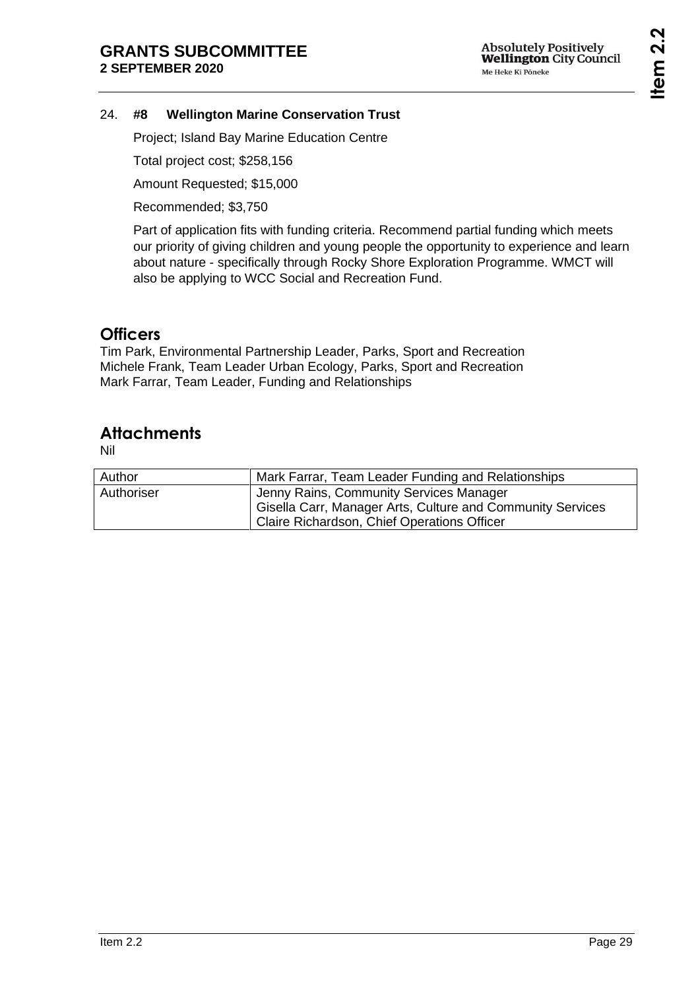**Item 2.2**

### 24. **#8 Wellington Marine Conservation Trust**

Project; Island Bay Marine Education Centre

Total project cost; \$258,156

Amount Requested; \$15,000

Recommended; \$3,750

Part of application fits with funding criteria. Recommend partial funding which meets our priority of giving children and young people the opportunity to experience and learn about nature - specifically through Rocky Shore Exploration Programme. WMCT will also be applying to WCC Social and Recreation Fund.

### **Officers**

Tim Park, Environmental Partnership Leader, Parks, Sport and Recreation Michele Frank, Team Leader Urban Ecology, Parks, Sport and Recreation Mark Farrar, Team Leader, Funding and Relationships

### **Attachments**

Nil

| Author     | Mark Farrar, Team Leader Funding and Relationships                                                                                                   |
|------------|------------------------------------------------------------------------------------------------------------------------------------------------------|
| Authoriser | Jenny Rains, Community Services Manager<br>Gisella Carr, Manager Arts, Culture and Community Services<br>Claire Richardson, Chief Operations Officer |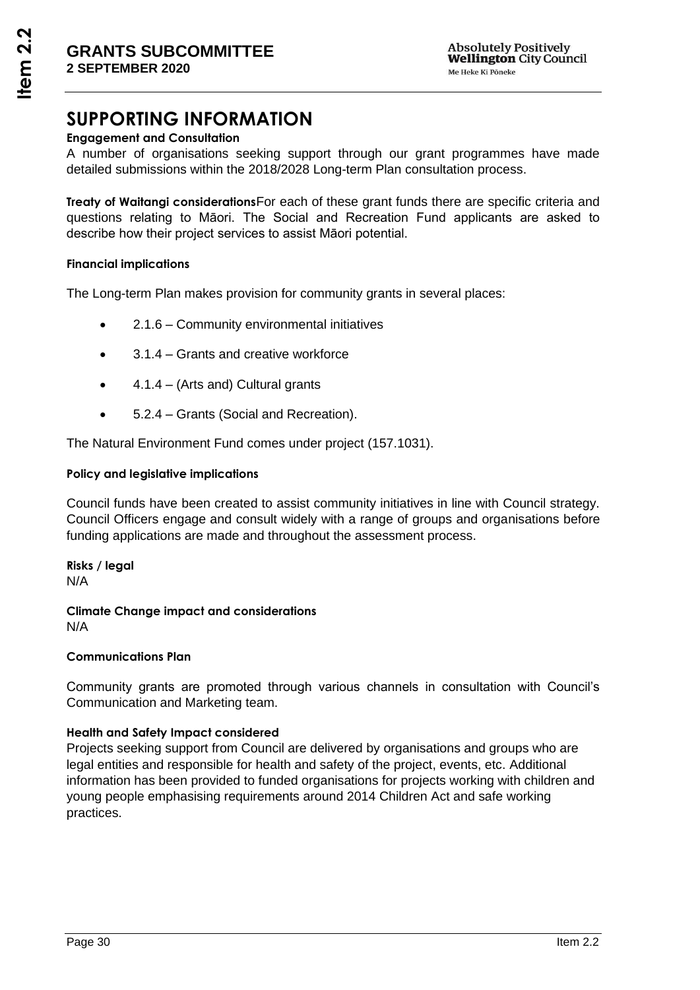# **SUPPORTING INFORMATION**

#### **Engagement and Consultation**

A number of organisations seeking support through our grant programmes have made detailed submissions within the 2018/2028 Long-term Plan consultation process.

**Treaty of Waitangi considerations**For each of these grant funds there are specific criteria and questions relating to Māori. The Social and Recreation Fund applicants are asked to describe how their project services to assist Māori potential.

#### **Financial implications**

The Long-term Plan makes provision for community grants in several places:

- 2.1.6 Community environmental initiatives
- 3.1.4 Grants and creative workforce
- 4.1.4 (Arts and) Cultural grants
- 5.2.4 Grants (Social and Recreation).

The Natural Environment Fund comes under project (157.1031).

#### **Policy and legislative implications**

Council funds have been created to assist community initiatives in line with Council strategy. Council Officers engage and consult widely with a range of groups and organisations before funding applications are made and throughout the assessment process.

**Risks / legal**  N/A

**Climate Change impact and considerations** N/A

#### **Communications Plan**

Community grants are promoted through various channels in consultation with Council's Communication and Marketing team.

#### **Health and Safety Impact considered**

Projects seeking support from Council are delivered by organisations and groups who are legal entities and responsible for health and safety of the project, events, etc. Additional information has been provided to funded organisations for projects working with children and young people emphasising requirements around 2014 Children Act and safe working practices.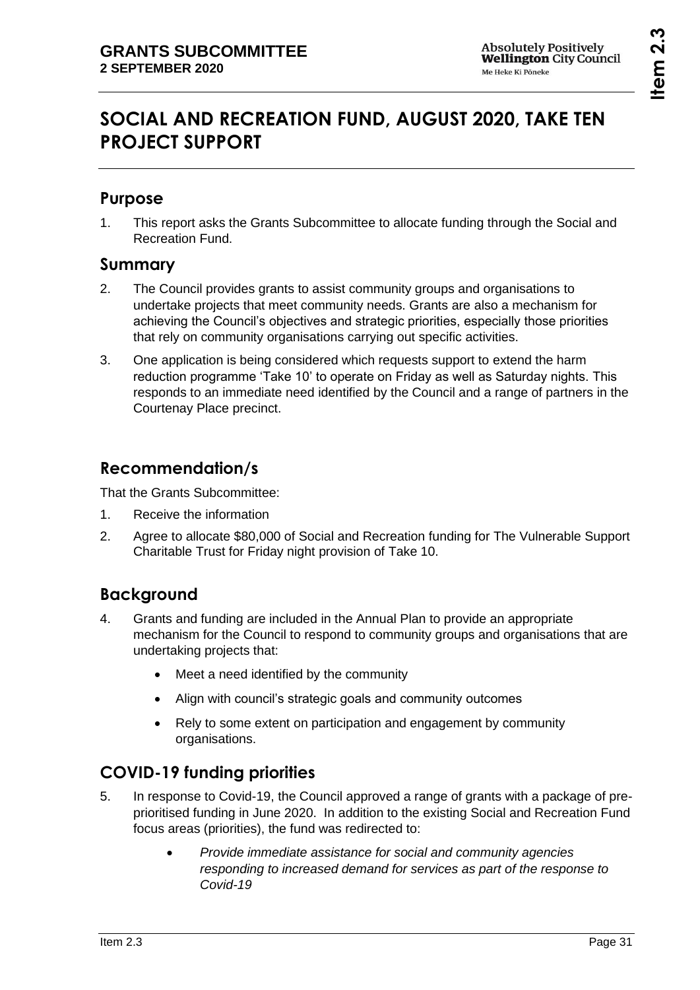# <span id="page-30-0"></span>**SOCIAL AND RECREATION FUND, AUGUST 2020, TAKE TEN PROJECT SUPPORT**

# **Purpose**

1. This report asks the Grants Subcommittee to allocate funding through the Social and Recreation Fund.

### **Summary**

- 2. The Council provides grants to assist community groups and organisations to undertake projects that meet community needs. Grants are also a mechanism for achieving the Council's objectives and strategic priorities, especially those priorities that rely on community organisations carrying out specific activities.
- 3. One application is being considered which requests support to extend the harm reduction programme 'Take 10' to operate on Friday as well as Saturday nights. This responds to an immediate need identified by the Council and a range of partners in the Courtenay Place precinct.

# **Recommendation/s**

That the Grants Subcommittee:

- 1. Receive the information
- 2. Agree to allocate \$80,000 of Social and Recreation funding for The Vulnerable Support Charitable Trust for Friday night provision of Take 10.

# **Background**

- 4. Grants and funding are included in the Annual Plan to provide an appropriate mechanism for the Council to respond to community groups and organisations that are undertaking projects that:
	- Meet a need identified by the community
	- Align with council's strategic goals and community outcomes
	- Rely to some extent on participation and engagement by community organisations.

# **COVID-19 funding priorities**

- 5. In response to Covid-19, the Council approved a range of grants with a package of preprioritised funding in June 2020. In addition to the existing Social and Recreation Fund focus areas (priorities), the fund was redirected to:
	- *Provide immediate assistance for social and community agencies responding to increased demand for services as part of the response to Covid-19*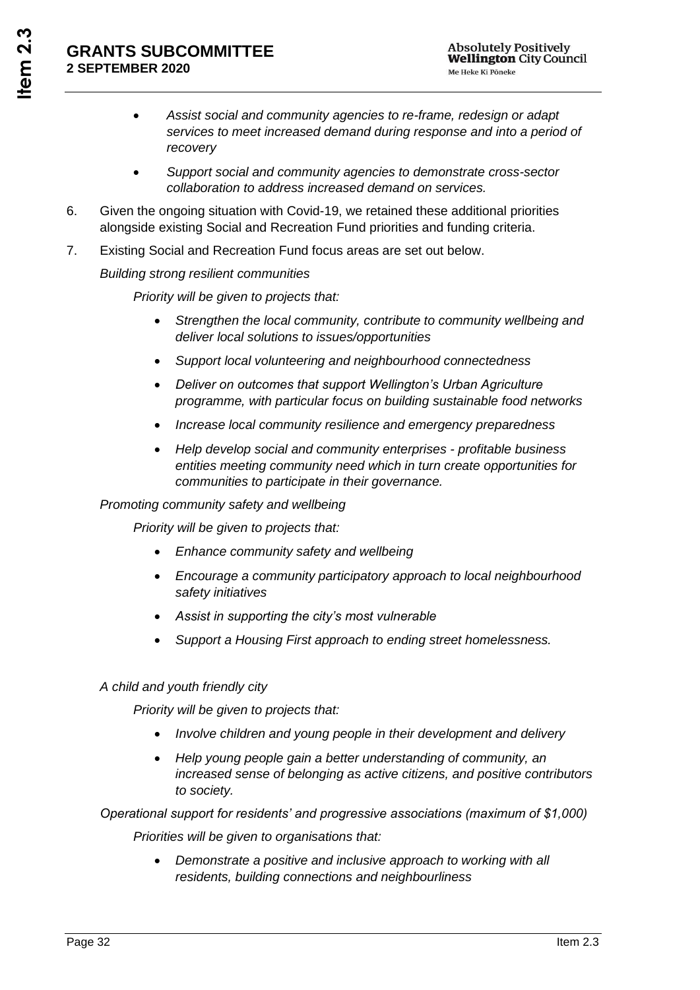- *Assist social and community agencies to re-frame, redesign or adapt services to meet increased demand during response and into a period of recovery*
- *Support social and community agencies to demonstrate cross-sector collaboration to address increased demand on services.*
- 6. Given the ongoing situation with Covid-19, we retained these additional priorities alongside existing Social and Recreation Fund priorities and funding criteria.
- 7. Existing Social and Recreation Fund focus areas are set out below.

### *Building strong resilient communities*

*Priority will be given to projects that:*

- *Strengthen the local community, contribute to community wellbeing and deliver local solutions to issues/opportunities*
- *Support local volunteering and neighbourhood connectedness*
- *Deliver on outcomes that support Wellington's Urban Agriculture programme, with particular focus on building sustainable food networks*
- *Increase local community resilience and emergency preparedness*
- *Help develop social and community enterprises - profitable business entities meeting community need which in turn create opportunities for communities to participate in their governance.*

*Promoting community safety and wellbeing* 

*Priority will be given to projects that:* 

- *Enhance community safety and wellbeing*
- *Encourage a community participatory approach to local neighbourhood safety initiatives*
- *Assist in supporting the city's most vulnerable*
- *Support a Housing First approach to ending street homelessness.*

#### *A child and youth friendly city*

*Priority will be given to projects that:* 

- *Involve children and young people in their development and delivery*
- *Help young people gain a better understanding of community, an increased sense of belonging as active citizens, and positive contributors to society.*

*Operational support for residents' and progressive associations (maximum of \$1,000)* 

*Priorities will be given to organisations that:* 

• *Demonstrate a positive and inclusive approach to working with all residents, building connections and neighbourliness*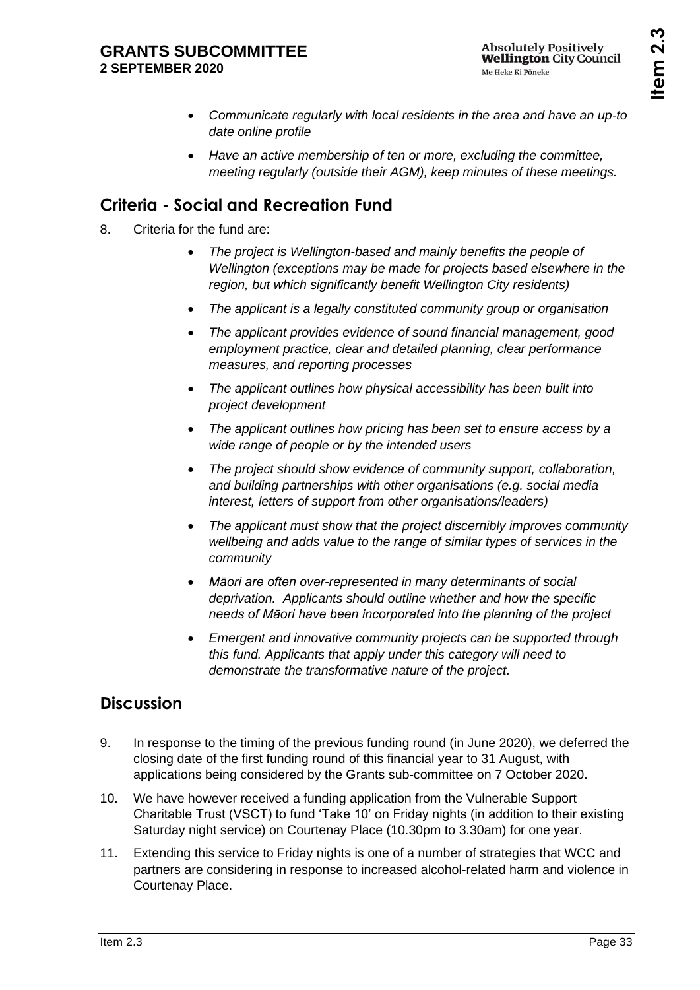- *Communicate regularly with local residents in the area and have an up-to date online profile*
- *Have an active membership of ten or more, excluding the committee, meeting regularly (outside their AGM), keep minutes of these meetings.*

# **Criteria - Social and Recreation Fund**

- 8. Criteria for the fund are:
	- *The project is Wellington-based and mainly benefits the people of Wellington (exceptions may be made for projects based elsewhere in the region, but which significantly benefit Wellington City residents)*
	- *The applicant is a legally constituted community group or organisation*
	- *The applicant provides evidence of sound financial management, good employment practice, clear and detailed planning, clear performance measures, and reporting processes*
	- *The applicant outlines how physical accessibility has been built into project development*
	- *The applicant outlines how pricing has been set to ensure access by a wide range of people or by the intended users*
	- *The project should show evidence of community support, collaboration, and building partnerships with other organisations (e.g. social media interest, letters of support from other organisations/leaders)*
	- *The applicant must show that the project discernibly improves community wellbeing and adds value to the range of similar types of services in the community*
	- *Māori are often over-represented in many determinants of social deprivation. Applicants should outline whether and how the specific needs of Māori have been incorporated into the planning of the project*
	- *Emergent and innovative community projects can be supported through this fund. Applicants that apply under this category will need to demonstrate the transformative nature of the project.*

# **Discussion**

- 9. In response to the timing of the previous funding round (in June 2020), we deferred the closing date of the first funding round of this financial year to 31 August, with applications being considered by the Grants sub-committee on 7 October 2020.
- 10. We have however received a funding application from the Vulnerable Support Charitable Trust (VSCT) to fund 'Take 10' on Friday nights (in addition to their existing Saturday night service) on Courtenay Place (10.30pm to 3.30am) for one year.
- 11. Extending this service to Friday nights is one of a number of strategies that WCC and partners are considering in response to increased alcohol-related harm and violence in Courtenay Place.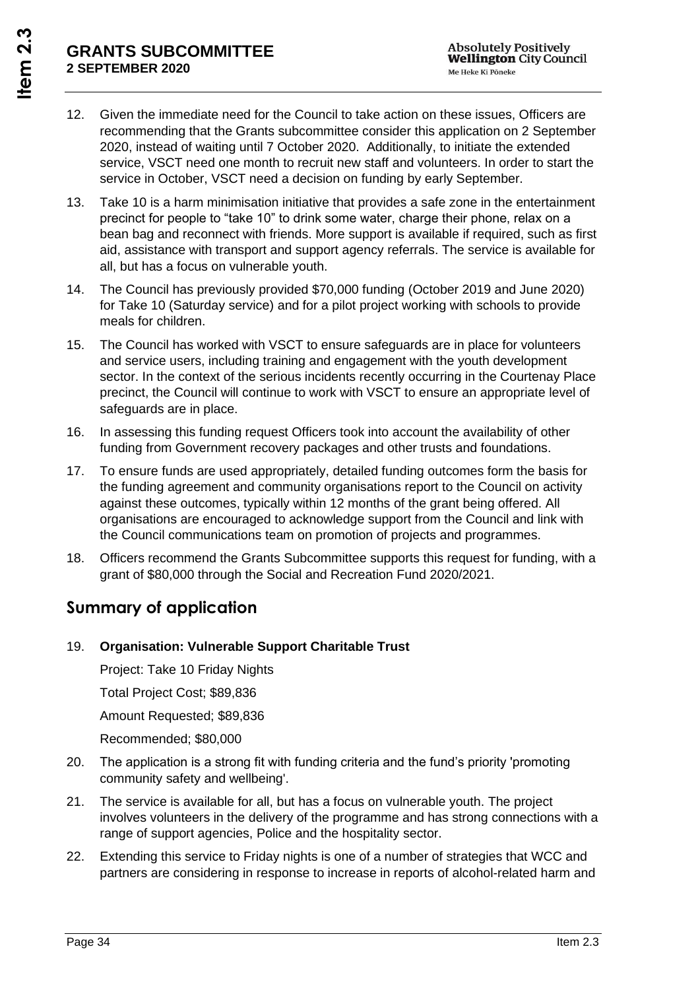- 12. Given the immediate need for the Council to take action on these issues, Officers are recommending that the Grants subcommittee consider this application on 2 September 2020, instead of waiting until 7 October 2020. Additionally, to initiate the extended service, VSCT need one month to recruit new staff and volunteers. In order to start the service in October, VSCT need a decision on funding by early September.
- 13. Take 10 is a harm minimisation initiative that provides a safe zone in the entertainment precinct for people to "take 10" to drink some water, charge their phone, relax on a bean bag and reconnect with friends. More support is available if required, such as first aid, assistance with transport and support agency referrals. The service is available for all, but has a focus on vulnerable youth.
- 14. The Council has previously provided \$70,000 funding (October 2019 and June 2020) for Take 10 (Saturday service) and for a pilot project working with schools to provide meals for children.
- 15. The Council has worked with VSCT to ensure safeguards are in place for volunteers and service users, including training and engagement with the youth development sector. In the context of the serious incidents recently occurring in the Courtenay Place precinct, the Council will continue to work with VSCT to ensure an appropriate level of safeguards are in place.
- 16. In assessing this funding request Officers took into account the availability of other funding from Government recovery packages and other trusts and foundations.
- 17. To ensure funds are used appropriately, detailed funding outcomes form the basis for the funding agreement and community organisations report to the Council on activity against these outcomes, typically within 12 months of the grant being offered. All organisations are encouraged to acknowledge support from the Council and link with the Council communications team on promotion of projects and programmes.
- 18. Officers recommend the Grants Subcommittee supports this request for funding, with a grant of \$80,000 through the Social and Recreation Fund 2020/2021.

# **Summary of application**

#### 19. **Organisation: Vulnerable Support Charitable Trust**

Project: Take 10 Friday Nights

Total Project Cost; \$89,836

Amount Requested; \$89,836

Recommended; \$80,000

- 20. The application is a strong fit with funding criteria and the fund's priority 'promoting community safety and wellbeing'.
- 21. The service is available for all, but has a focus on vulnerable youth. The project involves volunteers in the delivery of the programme and has strong connections with a range of support agencies, Police and the hospitality sector.
- 22. Extending this service to Friday nights is one of a number of strategies that WCC and partners are considering in response to increase in reports of alcohol-related harm and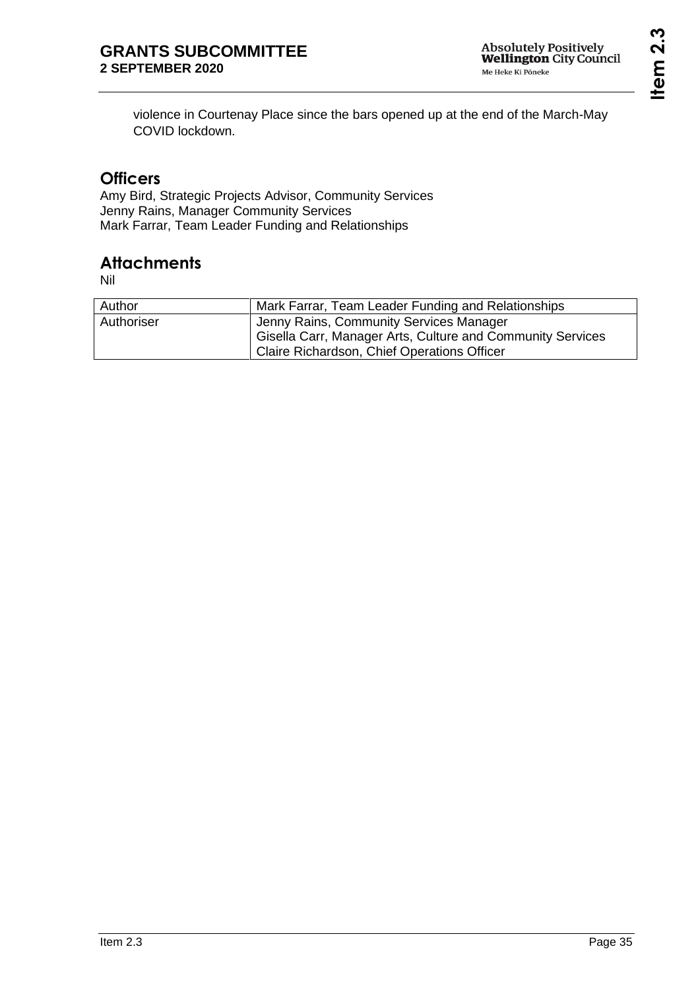violence in Courtenay Place since the bars opened up at the end of the March-May COVID lockdown.

## **Officers**

Amy Bird, Strategic Projects Advisor, Community Services Jenny Rains, Manager Community Services Mark Farrar, Team Leader Funding and Relationships

# **Attachments**

Nil

| Author     | Mark Farrar, Team Leader Funding and Relationships                                                                                                   |
|------------|------------------------------------------------------------------------------------------------------------------------------------------------------|
| Authoriser | Jenny Rains, Community Services Manager<br>Gisella Carr, Manager Arts, Culture and Community Services<br>Claire Richardson, Chief Operations Officer |